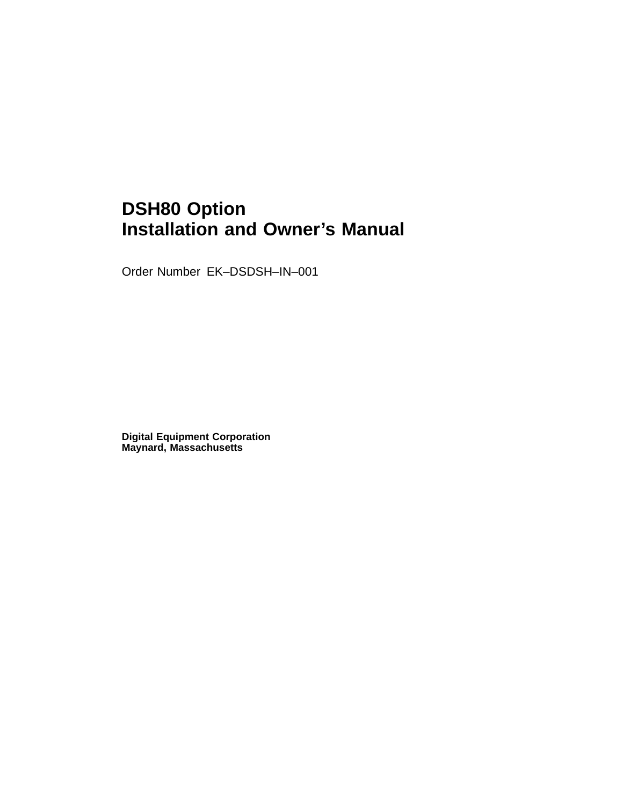## **DSH80 Option Installation and Owner's Manual**

Order Number EK–DSDSH–IN–001

**Digital Equipment Corporation Maynard, Massachusetts**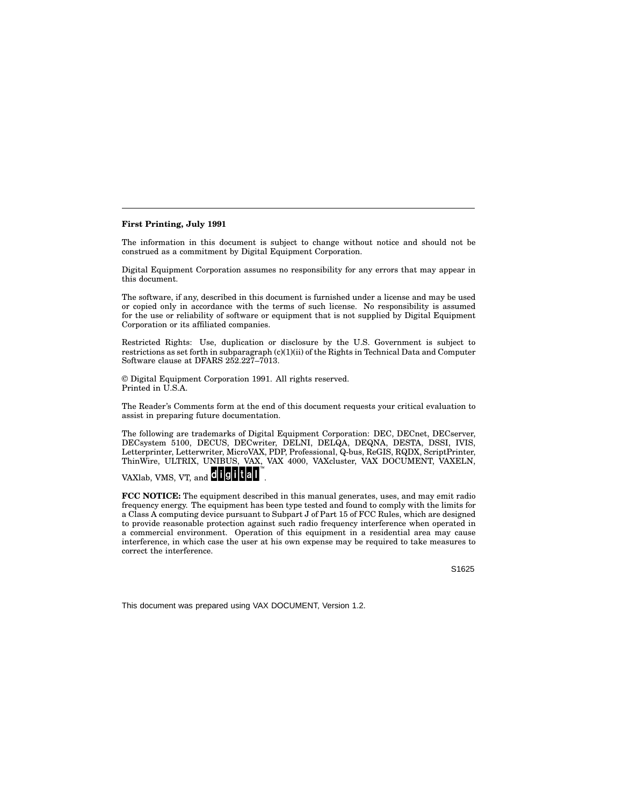#### **First Printing, July 1991**

The information in this document is subject to change without notice and should not be construed as a commitment by Digital Equipment Corporation.

Digital Equipment Corporation assumes no responsibility for any errors that may appear in this document.

The software, if any, described in this document is furnished under a license and may be used or copied only in accordance with the terms of such license. No responsibility is assumed for the use or reliability of software or equipment that is not supplied by Digital Equipment Corporation or its affiliated companies.

Restricted Rights: Use, duplication or disclosure by the U.S. Government is subject to restrictions as set forth in subparagraph (c)(1)(ii) of the Rights in Technical Data and Computer Software clause at DFARS 252.227–7013.

© Digital Equipment Corporation 1991. All rights reserved. Printed in U.S.A.

The Reader's Comments form at the end of this document requests your critical evaluation to assist in preparing future documentation.

The following are trademarks of Digital Equipment Corporation: DEC, DECnet, DECserver, DECsystem 5100, DECUS, DECwriter, DELNI, DELQA, DEQNA, DESTA, DSSI, IVIS, Letterprinter, Letterwriter, MicroVAX, PDP, Professional, Q-bus, ReGIS, RQDX, ScriptPrinter, ThinWire, ULTRIX, UNIBUS, VAX, VAX 4000, VAXcluster, VAX DOCUMENT, VAXELN,

.

VAXlab, VMS, VT, and CHOHICL

**FCC NOTICE:** The equipment described in this manual generates, uses, and may emit radio frequency energy. The equipment has been type tested and found to comply with the limits for a Class A computing device pursuant to Subpart J of Part 15 of FCC Rules, which are designed to provide reasonable protection against such radio frequency interference when operated in a commercial environment. Operation of this equipment in a residential area may cause interference, in which case the user at his own expense may be required to take measures to correct the interference.

S1625

This document was prepared using VAX DOCUMENT, Version 1.2.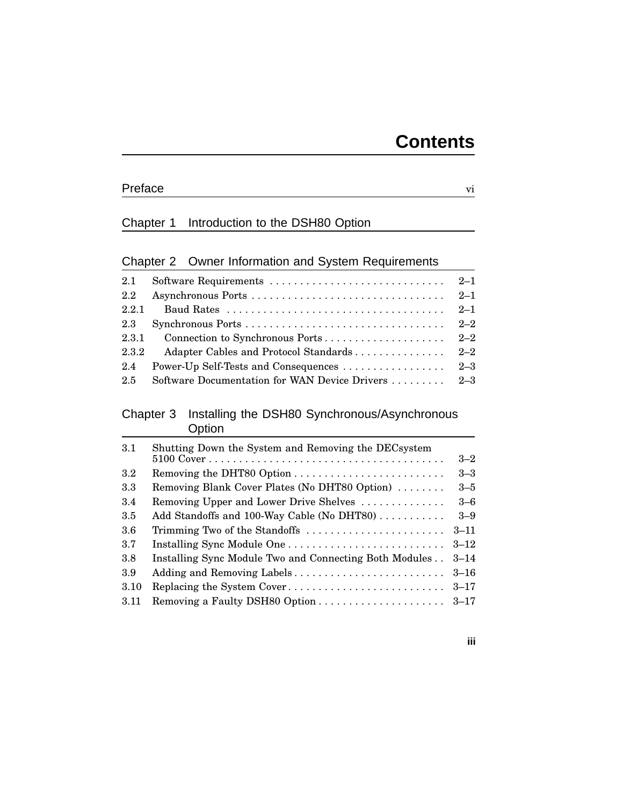### Preface vi

### Chapter 1 Introduction to the DSH80 Option

## Chapter 2 Owner Information and System Requirements

| 2.1     | Software Requirements $\ldots \ldots \ldots \ldots \ldots \ldots \ldots \ldots 2-1$ |  |
|---------|-------------------------------------------------------------------------------------|--|
| 2.2     |                                                                                     |  |
| 2.2.1   |                                                                                     |  |
| $2.3\,$ |                                                                                     |  |
|         |                                                                                     |  |
| 2.3.2   |                                                                                     |  |
| 2.4     |                                                                                     |  |
| $2.5\,$ | Software Documentation for WAN Device Drivers  2-3                                  |  |

### Chapter 3 Installing the DSH80 Synchronous/Asynchronous Option

| 3.1     | Shutting Down the System and Removing the DECsystem    | $3 - 2$  |
|---------|--------------------------------------------------------|----------|
| $3.2\,$ |                                                        | $3 - 3$  |
| 3.3     | Removing Blank Cover Plates (No DHT80 Option)          | $3 - 5$  |
| 3.4     | Removing Upper and Lower Drive Shelves                 | $3-6$    |
| 3.5     | Add Standoffs and 100-Way Cable (No DHT80)             | $3 - 9$  |
| 3.6     | Trimming Two of the Standoffs                          | $3 - 11$ |
| 3.7     |                                                        | $3 - 12$ |
| 3.8     | Installing Sync Module Two and Connecting Both Modules | $3 - 14$ |
| 3.9     | Adding and Removing Labels                             | $3 - 16$ |
| 3.10    | Replacing the System Cover                             | $3 - 17$ |
| 3.11    |                                                        | $3 - 17$ |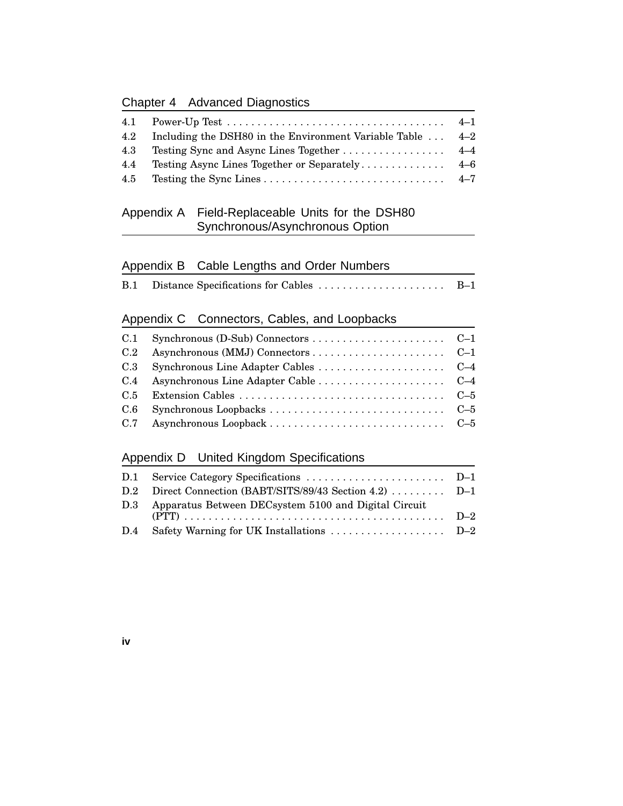### Chapter 4 Advanced Diagnostics

| 4.2 | Including the DSH80 in the Environment Variable Table  4-2 |  |
|-----|------------------------------------------------------------|--|
| 4.3 |                                                            |  |
| 4.4 |                                                            |  |
| 4.5 |                                                            |  |

### Appendix A Field-Replaceable Units for the DSH80 Synchronous/Asynchronous Option

### Appendix B Cable Lengths and Order Numbers

|  | $B-1$ |
|--|-------|
|  |       |

### Appendix C Connectors, Cables, and Loopbacks

| C.1 |  |
|-----|--|
| C.2 |  |
| C.3 |  |
|     |  |
| C.5 |  |
| C.6 |  |
|     |  |

### Appendix D United Kingdom Specifications

|     | D.2 Direct Connection (BABT/SITS/89/43 Section 4.2) D-1 |  |
|-----|---------------------------------------------------------|--|
| D.3 | Apparatus Between DECsystem 5100 and Digital Circuit    |  |
|     |                                                         |  |

**iv**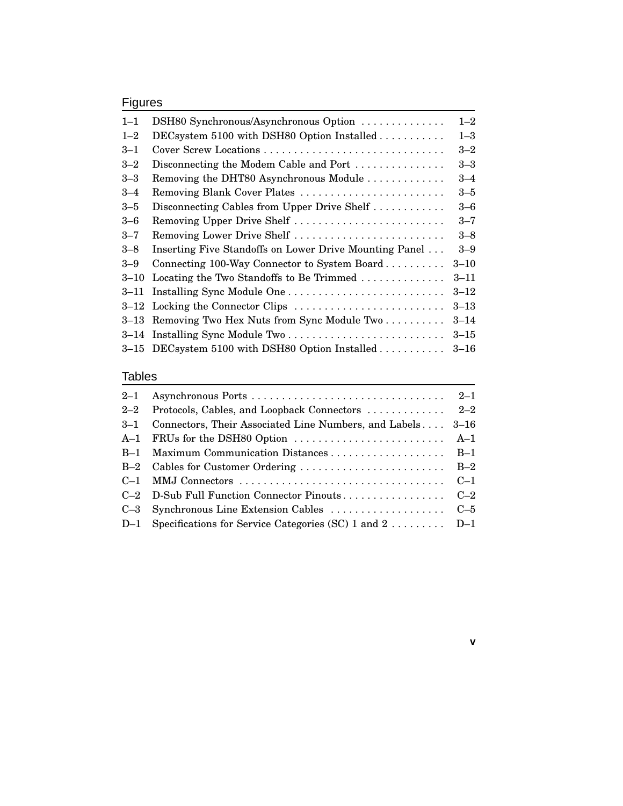### Figures

| $1 - 1$  | DSH80 Synchronous/Asynchronous Option                                  | $1 - 2$  |
|----------|------------------------------------------------------------------------|----------|
| $1 - 2$  | DECsystem 5100 with DSH80 Option Installed                             | $1 - 3$  |
| $3 - 1$  |                                                                        | $3 - 2$  |
| $3 - 2$  | Disconnecting the Modem Cable and Port                                 | $3 - 3$  |
| $3 - 3$  | Removing the DHT80 Asynchronous Module                                 | $3 - 4$  |
| $3 - 4$  | Removing Blank Cover Plates                                            | $3 - 5$  |
| $3 - 5$  | Disconnecting Cables from Upper Drive Shelf                            | $3-6$    |
| $3-6$    | Removing Upper Drive Shelf                                             | $3 - 7$  |
| $3 - 7$  | Removing Lower Drive Shelf                                             | $3 - 8$  |
| $3 - 8$  | Inserting Five Standoffs on Lower Drive Mounting Panel                 | $3 - 9$  |
| $3 - 9$  | Connecting 100-Way Connector to System Board                           | $3 - 10$ |
| $3 - 10$ | Locating the Two Standoffs to Be Trimmed $\ldots \ldots \ldots \ldots$ | $3 - 11$ |
| 3–11     |                                                                        | $3 - 12$ |
|          | 3–12 Locking the Connector Clips                                       | $3 - 13$ |
| 3–13     | Removing Two Hex Nuts from Sync Module Two                             | $3 - 14$ |
|          | 3-14 Installing Sync Module Two                                        | $3 - 15$ |
|          | 3-15 DECsystem 5100 with DSH80 Option Installed                        | $3 - 16$ |

### Tables

| $3 - 1$ | Connectors, Their Associated Line Numbers, and Labels 3–16            |  |
|---------|-----------------------------------------------------------------------|--|
|         |                                                                       |  |
|         | B-1 Maximum Communication Distances B-1                               |  |
|         |                                                                       |  |
|         |                                                                       |  |
|         |                                                                       |  |
| $C - 3$ | Synchronous Line Extension Cables $\dots \dots \dots \dots \dots$ C-5 |  |
|         | D-1 Specifications for Service Categories (SC) 1 and 2  D-1           |  |

**v**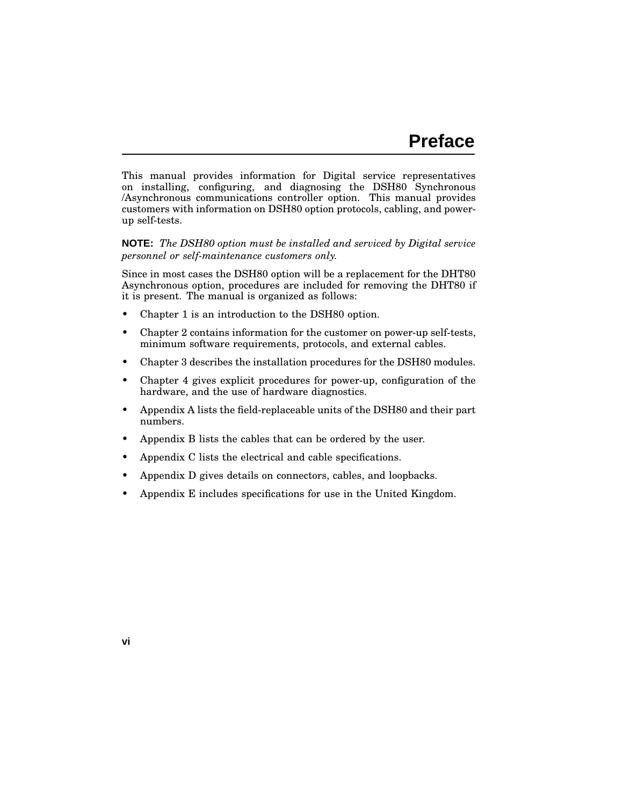This manual provides information for Digital service representatives on installing, configuring, and diagnosing the DSH80 Synchronous /Asynchronous communications controller option. This manual provides customers with information on DSH80 option protocols, cabling, and powerup self-tests.

**NOTE:** *The DSH80 option must be installed and serviced by Digital service personnel or self-maintenance customers only.*

Since in most cases the DSH80 option will be a replacement for the DHT80 Asynchronous option, procedures are included for removing the DHT80 if it is present. The manual is organized as follows:

- Chapter 1 is an introduction to the DSH80 option.
- Chapter 2 contains information for the customer on power-up self-tests, minimum software requirements, protocols, and external cables.
- Chapter 3 describes the installation procedures for the DSH80 modules.
- Chapter 4 gives explicit procedures for power-up, configuration of the hardware, and the use of hardware diagnostics.
- Appendix A lists the field-replaceable units of the DSH80 and their part numbers.
- Appendix B lists the cables that can be ordered by the user.
- Appendix C lists the electrical and cable specifications.
- Appendix D gives details on connectors, cables, and loopbacks.
- Appendix E includes specifications for use in the United Kingdom.

**vi**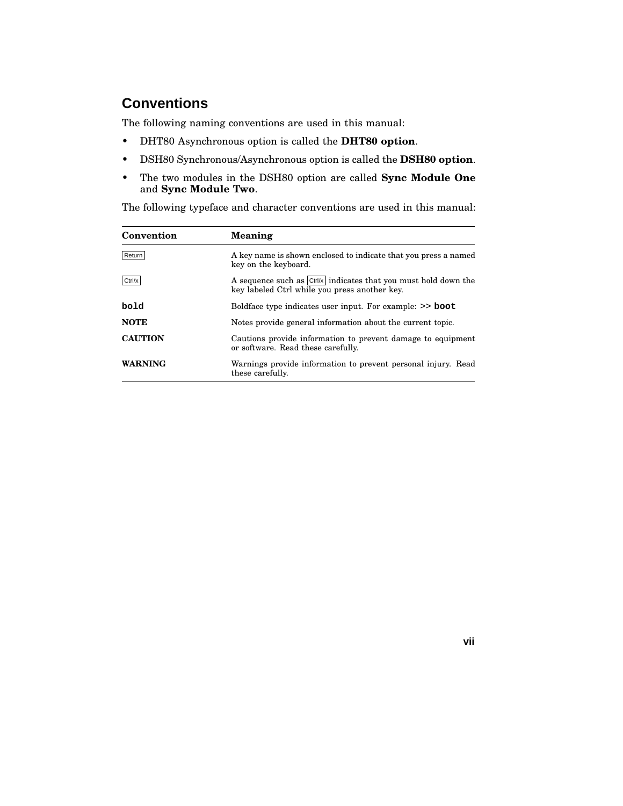### **Conventions**

The following naming conventions are used in this manual:

- DHT80 Asynchronous option is called the **DHT80 option**.
- DSH80 Synchronous/Asynchronous option is called the **DSH80 option**.
- The two modules in the DSH80 option are called **Sync Module One** and **Sync Module Two**.

The following typeface and character conventions are used in this manual:

| Convention     | Meaning                                                                                                          |
|----------------|------------------------------------------------------------------------------------------------------------------|
| Return         | A key name is shown enclosed to indicate that you press a named<br>key on the keyboard.                          |
| Ctrl/x         | A sequence such as Ctrl/x indicates that you must hold down the<br>key labeled Ctrl while you press another key. |
| bold           | Boldface type indicates user input. For example: >> boot                                                         |
| <b>NOTE</b>    | Notes provide general information about the current topic.                                                       |
| <b>CAUTION</b> | Cautions provide information to prevent damage to equipment<br>or software. Read these carefully.                |
| <b>WARNING</b> | Warnings provide information to prevent personal injury. Read<br>these carefully.                                |

**vii**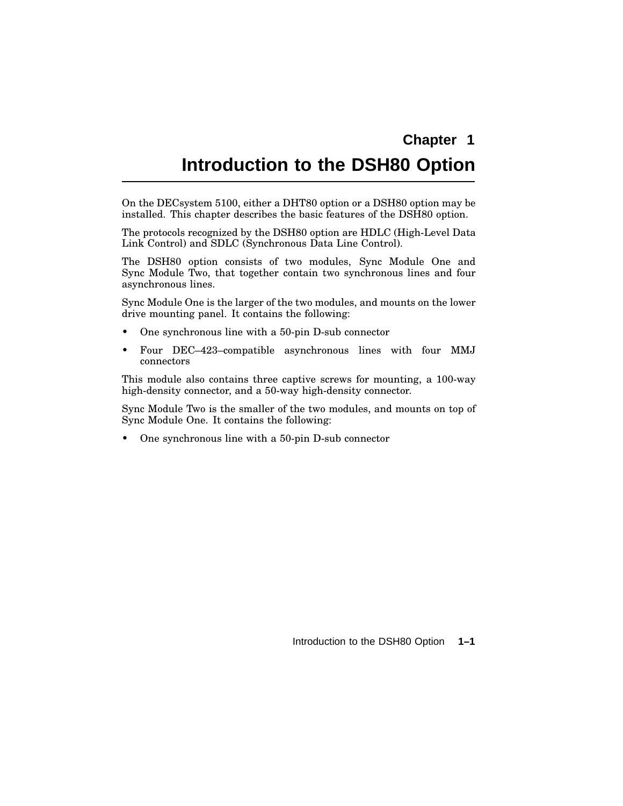## **Introduction to the DSH80 Option**

On the DECsystem 5100, either a DHT80 option or a DSH80 option may be installed. This chapter describes the basic features of the DSH80 option.

The protocols recognized by the DSH80 option are HDLC (High-Level Data Link Control) and SDLC (Synchronous Data Line Control).

The DSH80 option consists of two modules, Sync Module One and Sync Module Two, that together contain two synchronous lines and four asynchronous lines.

Sync Module One is the larger of the two modules, and mounts on the lower drive mounting panel. It contains the following:

- One synchronous line with a 50-pin D-sub connector
- Four DEC–423–compatible asynchronous lines with four MMJ connectors

This module also contains three captive screws for mounting, a 100-way high-density connector, and a 50-way high-density connector.

Sync Module Two is the smaller of the two modules, and mounts on top of Sync Module One. It contains the following:

• One synchronous line with a 50-pin D-sub connector

Introduction to the DSH80 Option **1–1**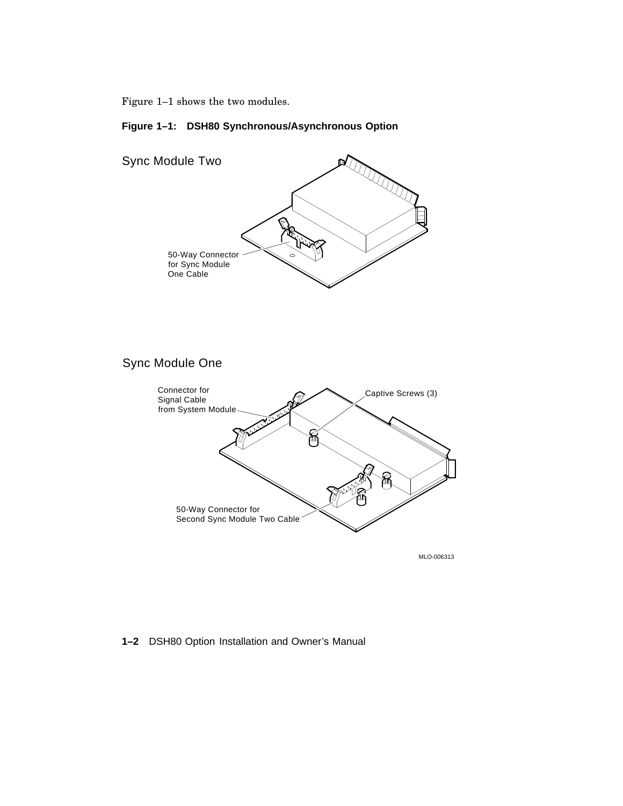Figure 1–1 shows the two modules.

### **Figure 1–1: DSH80 Synchronous/Asynchronous Option**



### Sync Module One



MLO-006313

#### **1–2** DSH80 Option Installation and Owner's Manual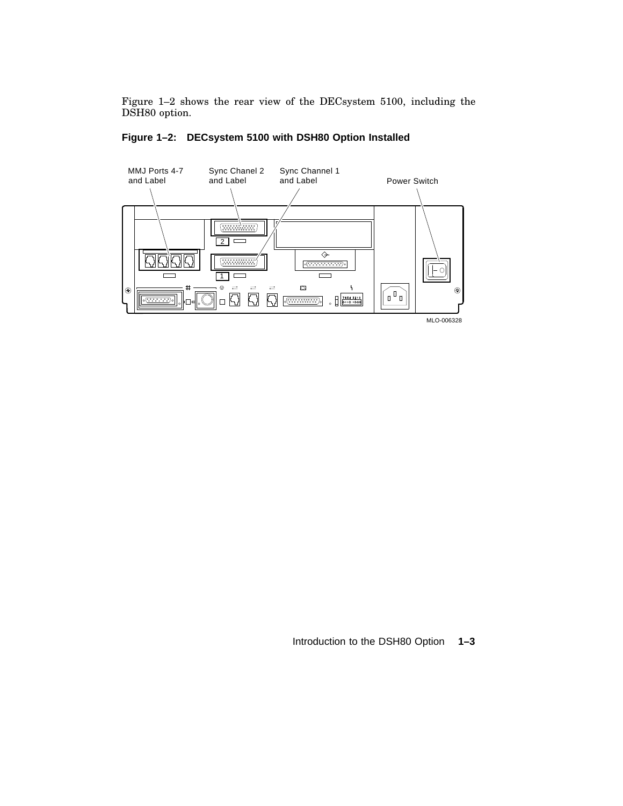Figure 1–2 shows the rear view of the DECsystem 5100, including the DSH80 option.



**Figure 1–2: DECsystem 5100 with DSH80 Option Installed**

Introduction to the DSH80 Option **1–3**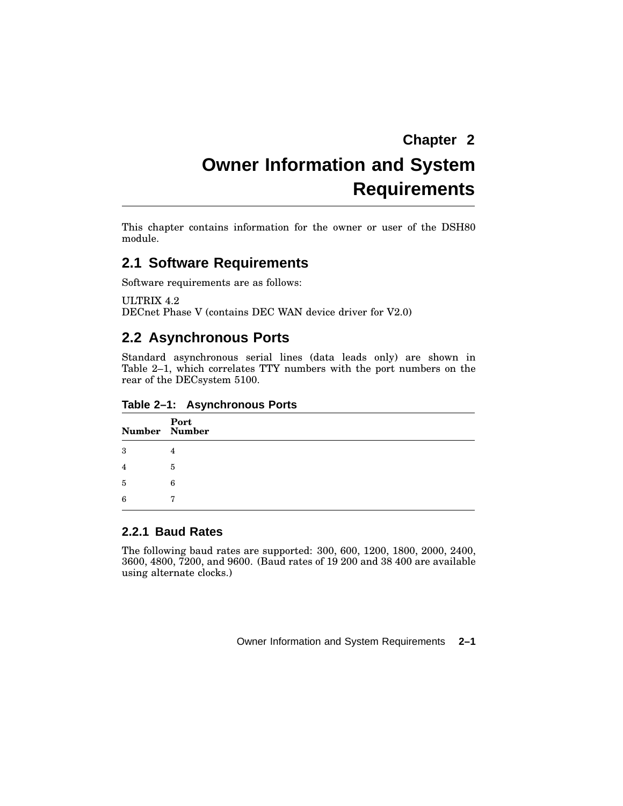# **Owner Information and System Requirements**

This chapter contains information for the owner or user of the DSH80 module.

### **2.1 Software Requirements**

Software requirements are as follows:

ULTRIX 4.2 DECnet Phase V (contains DEC WAN device driver for V2.0)

### **2.2 Asynchronous Ports**

Standard asynchronous serial lines (data leads only) are shown in Table 2–1, which correlates TTY numbers with the port numbers on the rear of the DECsystem 5100.

|  | Table 2-1: Asynchronous Ports |  |
|--|-------------------------------|--|
|--|-------------------------------|--|

| Port<br>Number Number |                |
|-----------------------|----------------|
| 3                     | 4              |
| 4                     | $\overline{5}$ |
| 5                     | 6              |
| 6                     | 7              |

#### **2.2.1 Baud Rates**

The following baud rates are supported: 300, 600, 1200, 1800, 2000, 2400, 3600, 4800, 7200, and 9600. (Baud rates of 19 200 and 38 400 are available using alternate clocks.)

Owner Information and System Requirements **2–1**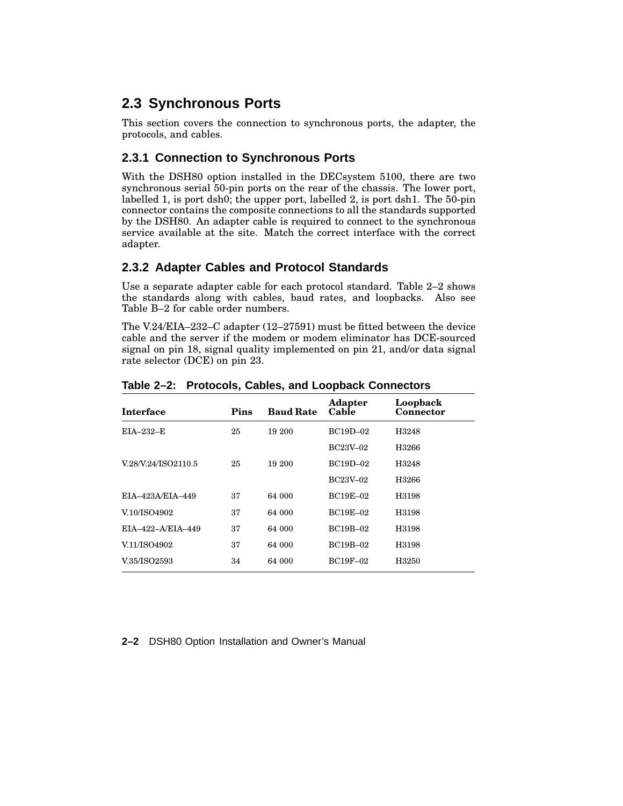### **2.3 Synchronous Ports**

This section covers the connection to synchronous ports, the adapter, the protocols, and cables.

### **2.3.1 Connection to Synchronous Ports**

With the DSH80 option installed in the DECsystem 5100, there are two synchronous serial 50-pin ports on the rear of the chassis. The lower port, labelled 1, is port dsh0; the upper port, labelled 2, is port dsh1. The 50-pin connector contains the composite connections to all the standards supported by the DSH80. An adapter cable is required to connect to the synchronous service available at the site. Match the correct interface with the correct adapter.

#### **2.3.2 Adapter Cables and Protocol Standards**

Use a separate adapter cable for each protocol standard. Table 2–2 shows the standards along with cables, baud rates, and loopbacks. Also see Table B–2 for cable order numbers.

The V.24/EIA–232–C adapter (12–27591) must be fitted between the device cable and the server if the modem or modem eliminator has DCE-sourced signal on pin 18, signal quality implemented on pin 21, and/or data signal rate selector (DCE) on pin 23.

| <b>Interface</b>    | Pins | <b>Baud Rate</b> | <b>Adapter</b><br>Cable | Loopback<br>Connector |
|---------------------|------|------------------|-------------------------|-----------------------|
| $EIA-232-E$         | 25   | 19 200           | <b>BC19D-02</b>         | H3248                 |
|                     |      |                  | BC23V-02                | H3266                 |
| V.28/V.24/ISO2110.5 | 25   | 19 200           | <b>BC19D-02</b>         | H3248                 |
|                     |      |                  | BC23V-02                | H3266                 |
| EIA-423A/EIA-449    | 37   | 64 000           | <b>BC19E-02</b>         | H3198                 |
| V.10/ISO4902        | 37   | 64 000           | <b>BC19E-02</b>         | H3198                 |
| EIA-422-A/EIA-449   | 37   | 64 000           | <b>BC19B-02</b>         | H3198                 |
| V.11/ISO4902        | 37   | 64 000           | <b>BC19B-02</b>         | H3198                 |
| V.35/ISO2593        | 34   | 64 000           | <b>BC19F-02</b>         | H3250                 |

**Table 2–2: Protocols, Cables, and Loopback Connectors**

**2–2** DSH80 Option Installation and Owner's Manual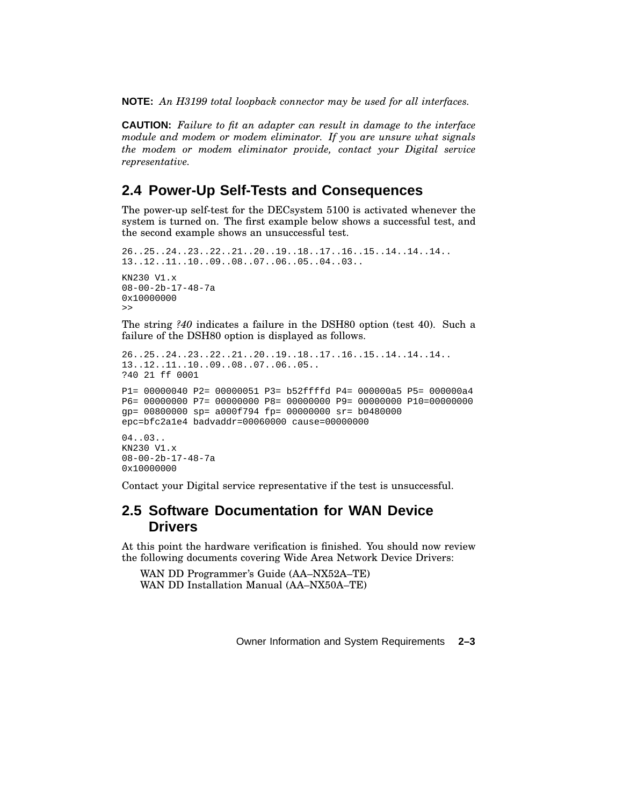**NOTE:** *An H3199 total loopback connector may be used for all interfaces.*

**CAUTION:** *Failure to fit an adapter can result in damage to the interface module and modem or modem eliminator. If you are unsure what signals the modem or modem eliminator provide, contact your Digital service representative.*

### **2.4 Power-Up Self-Tests and Consequences**

The power-up self-test for the DECsystem 5100 is activated whenever the system is turned on. The first example below shows a successful test, and the second example shows an unsuccessful test.

```
26..25..24..23..22..21..20..19..18..17..16..15..14..14..14..
13..12..11..10..09..08..07..06..05..04..03..
KN230 V1.x
08-00-2b-17-48-7a
0x10000000
>>
```
The string *?40* indicates a failure in the DSH80 option (test 40). Such a failure of the DSH80 option is displayed as follows.

```
26..25..24..23..22..21..20..19..18..17..16..15..14..14..14..
13..12..11..10..09..08..07..06..05..
?40 21 ff 0001
P1= 00000040 P2= 00000051 P3= b52ffffd P4= 000000a5 P5= 000000a4
P6= 00000000 P7= 00000000 P8= 00000000 P9= 00000000 P10=00000000
gp= 00800000 sp= a000f794 fp= 00000000 sr= b0480000
epc=bfc2a1e4 badvaddr=00060000 cause=00000000
04..03..
```
KN230 V1.x 08-00-2b-17-48-7a 0x10000000

Contact your Digital service representative if the test is unsuccessful.

### **2.5 Software Documentation for WAN Device Drivers**

At this point the hardware verification is finished. You should now review the following documents covering Wide Area Network Device Drivers:

WAN DD Programmer's Guide (AA–NX52A–TE) WAN DD Installation Manual (AA–NX50A–TE)

Owner Information and System Requirements **2–3**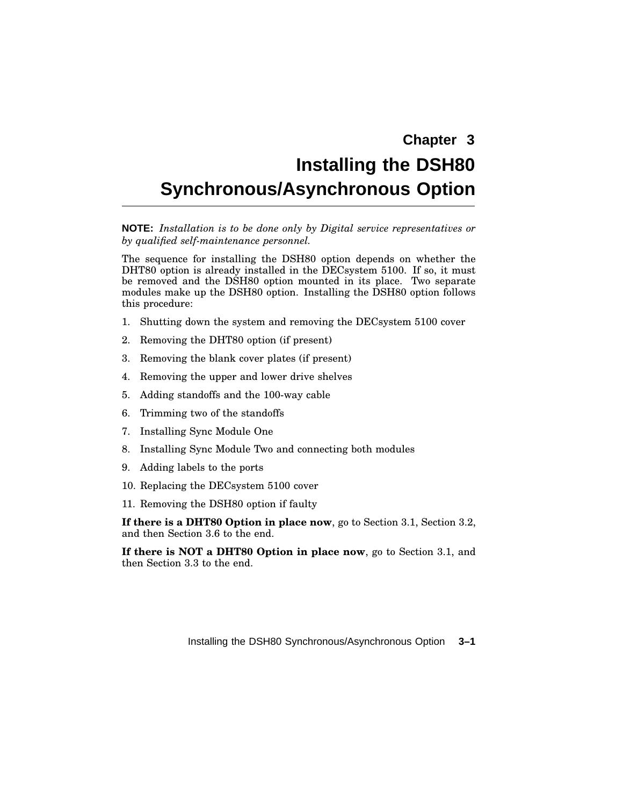### **Chapter 3**

## **Installing the DSH80 Synchronous/Asynchronous Option**

**NOTE:** *Installation is to be done only by Digital service representatives or by qualified self-maintenance personnel.*

The sequence for installing the DSH80 option depends on whether the DHT80 option is already installed in the DECsystem 5100. If so, it must be removed and the DSH80 option mounted in its place. Two separate modules make up the DSH80 option. Installing the DSH80 option follows this procedure:

- 1. Shutting down the system and removing the DECsystem 5100 cover
- 2. Removing the DHT80 option (if present)
- 3. Removing the blank cover plates (if present)
- 4. Removing the upper and lower drive shelves
- 5. Adding standoffs and the 100-way cable
- 6. Trimming two of the standoffs
- 7. Installing Sync Module One
- 8. Installing Sync Module Two and connecting both modules
- 9. Adding labels to the ports
- 10. Replacing the DECsystem 5100 cover
- 11. Removing the DSH80 option if faulty

**If there is a DHT80 Option in place now**, go to Section 3.1, Section 3.2, and then Section 3.6 to the end.

**If there is NOT a DHT80 Option in place now**, go to Section 3.1, and then Section 3.3 to the end.

Installing the DSH80 Synchronous/Asynchronous Option **3–1**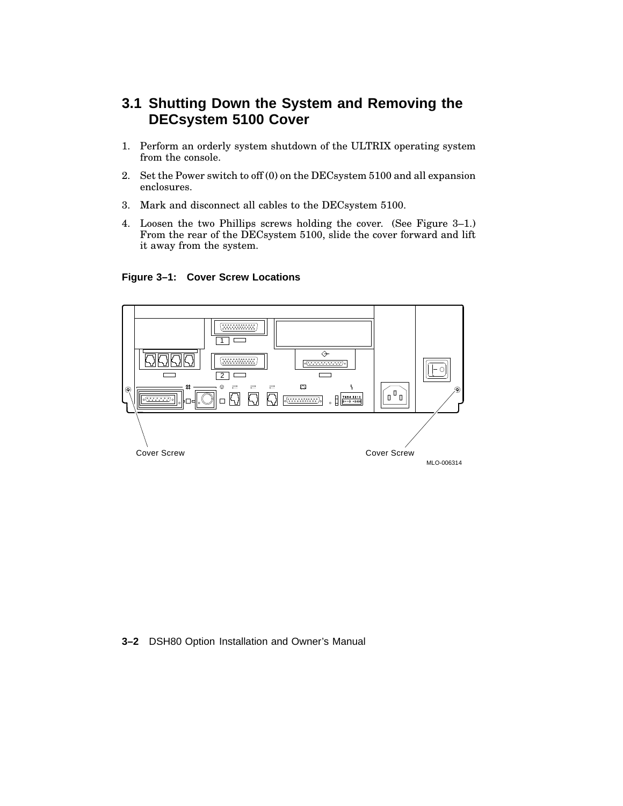### **3.1 Shutting Down the System and Removing the DECsystem 5100 Cover**

- 1. Perform an orderly system shutdown of the ULTRIX operating system from the console.
- 2. Set the Power switch to off (0) on the DECsystem 5100 and all expansion enclosures.
- 3. Mark and disconnect all cables to the DECsystem 5100.
- 4. Loosen the two Phillips screws holding the cover. (See Figure 3–1.) From the rear of the DECsystem 5100, slide the cover forward and lift it away from the system.

**Figure 3–1: Cover Screw Locations**



#### **3–2** DSH80 Option Installation and Owner's Manual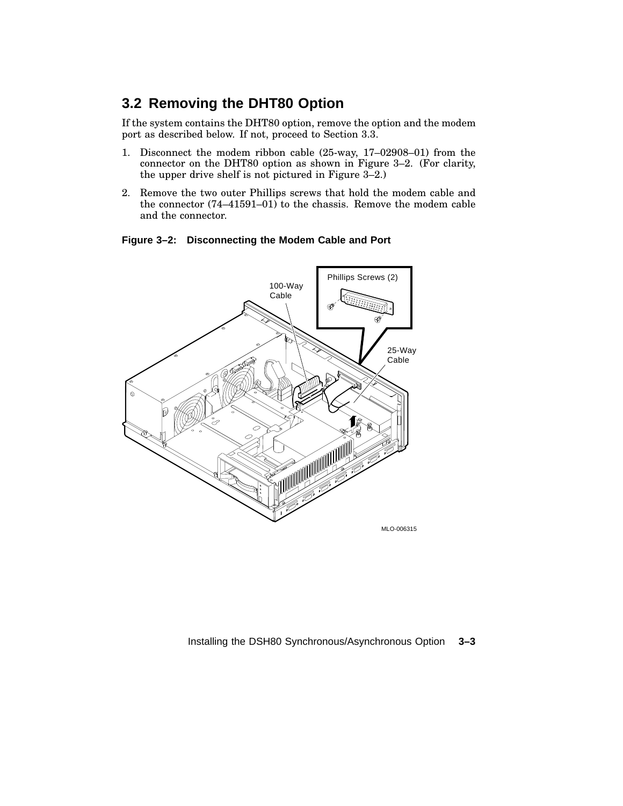### **3.2 Removing the DHT80 Option**

If the system contains the DHT80 option, remove the option and the modem port as described below. If not, proceed to Section 3.3.

- 1. Disconnect the modem ribbon cable (25-way, 17–02908–01) from the connector on the DHT80 option as shown in Figure 3–2. (For clarity, the upper drive shelf is not pictured in Figure 3–2.)
- 2. Remove the two outer Phillips screws that hold the modem cable and the connector (74–41591–01) to the chassis. Remove the modem cable and the connector.



#### **Figure 3–2: Disconnecting the Modem Cable and Port**

Installing the DSH80 Synchronous/Asynchronous Option **3–3**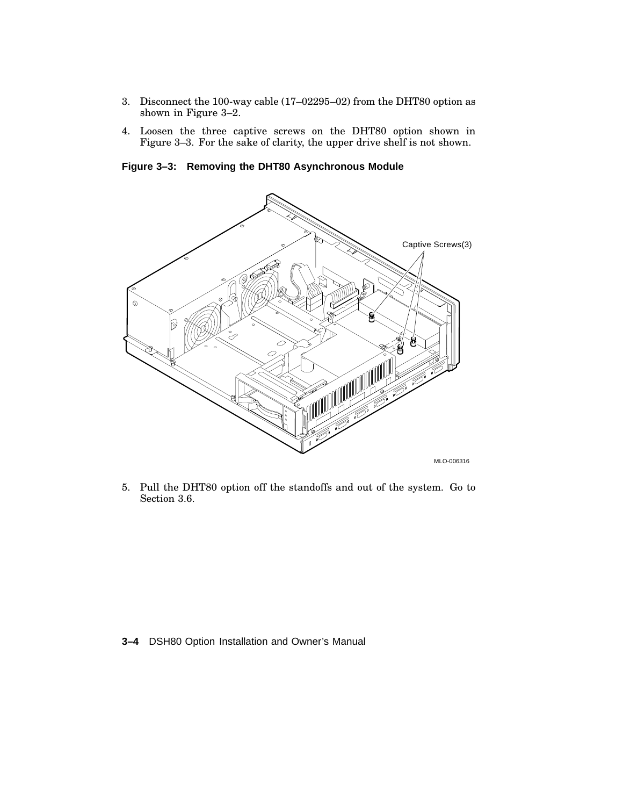- 3. Disconnect the 100-way cable (17–02295–02) from the DHT80 option as shown in Figure 3–2.
- 4. Loosen the three captive screws on the DHT80 option shown in Figure 3–3. For the sake of clarity, the upper drive shelf is not shown.

**Figure 3–3: Removing the DHT80 Asynchronous Module**



5. Pull the DHT80 option off the standoffs and out of the system. Go to Section 3.6.

**3–4** DSH80 Option Installation and Owner's Manual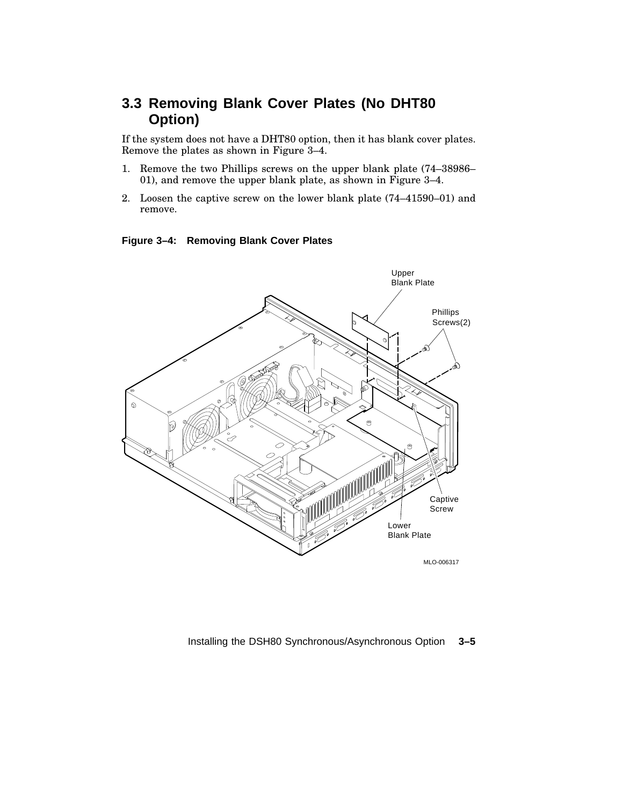### **3.3 Removing Blank Cover Plates (No DHT80 Option)**

If the system does not have a DHT80 option, then it has blank cover plates. Remove the plates as shown in Figure 3–4.

- 1. Remove the two Phillips screws on the upper blank plate (74–38986– 01), and remove the upper blank plate, as shown in Figure 3–4.
- 2. Loosen the captive screw on the lower blank plate (74–41590–01) and remove.

#### **Figure 3–4: Removing Blank Cover Plates**



Installing the DSH80 Synchronous/Asynchronous Option **3–5**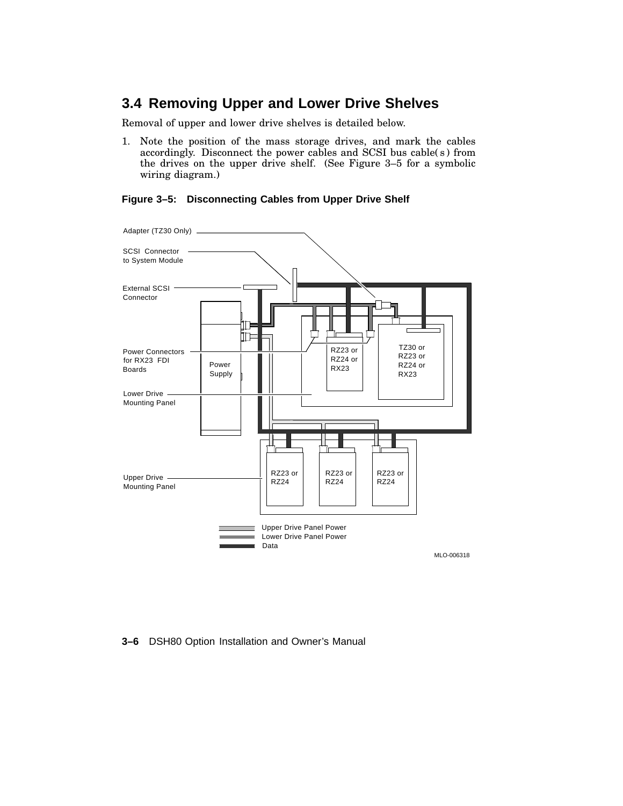### **3.4 Removing Upper and Lower Drive Shelves**

Removal of upper and lower drive shelves is detailed below.

1. Note the position of the mass storage drives, and mark the cables accordingly. Disconnect the power cables and SCSI bus cable( s ) from the drives on the upper drive shelf. (See Figure 3–5 for a symbolic wiring diagram.)

#### **Figure 3–5: Disconnecting Cables from Upper Drive Shelf**



#### **3–6** DSH80 Option Installation and Owner's Manual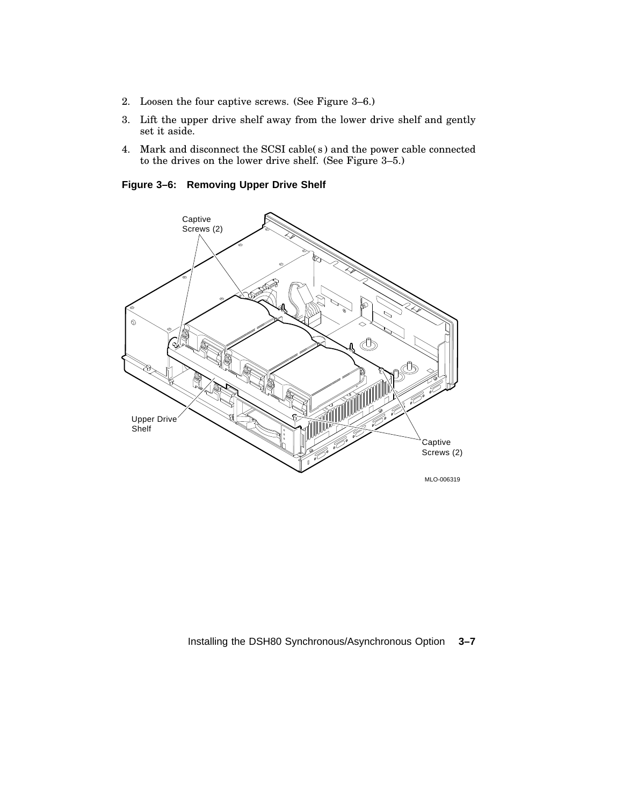- 2. Loosen the four captive screws. (See Figure 3–6.)
- 3. Lift the upper drive shelf away from the lower drive shelf and gently set it aside.
- 4. Mark and disconnect the SCSI cable( s ) and the power cable connected to the drives on the lower drive shelf. (See Figure 3–5.)

**Figure 3–6: Removing Upper Drive Shelf**



#### Installing the DSH80 Synchronous/Asynchronous Option **3–7**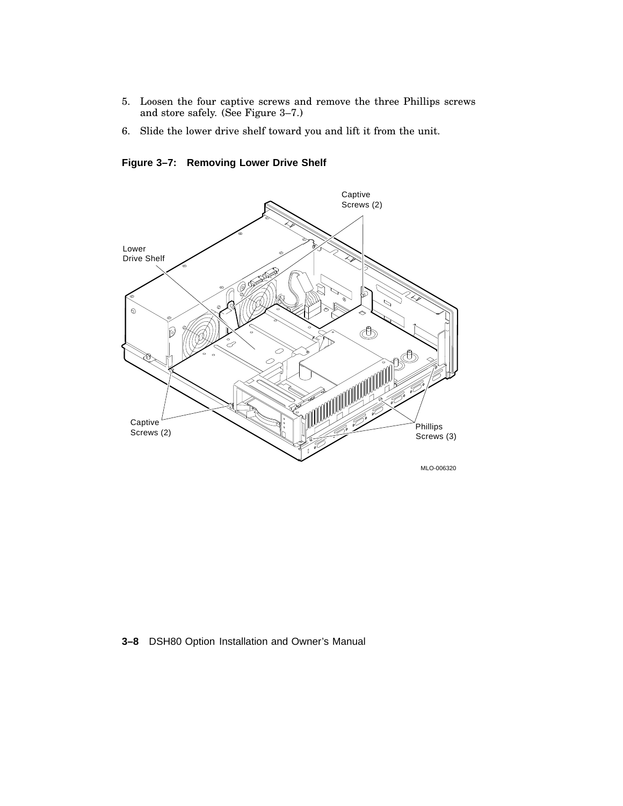- 5. Loosen the four captive screws and remove the three Phillips screws and store safely. (See Figure 3–7.)
- 6. Slide the lower drive shelf toward you and lift it from the unit.

**Figure 3–7: Removing Lower Drive Shelf**



#### **3–8** DSH80 Option Installation and Owner's Manual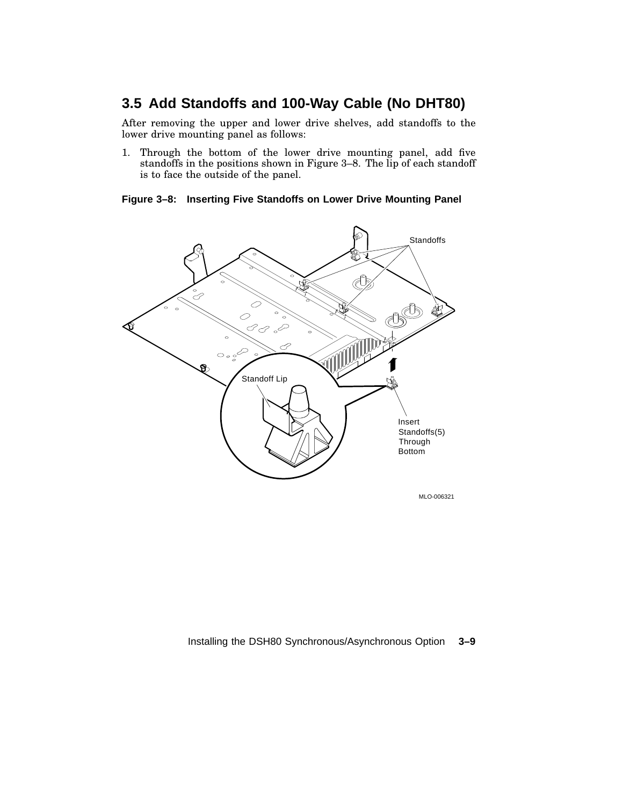### **3.5 Add Standoffs and 100-Way Cable (No DHT80)**

After removing the upper and lower drive shelves, add standoffs to the lower drive mounting panel as follows:

1. Through the bottom of the lower drive mounting panel, add five standoffs in the positions shown in Figure 3–8. The lip of each standoff is to face the outside of the panel.

#### **Figure 3–8: Inserting Five Standoffs on Lower Drive Mounting Panel**



#### Installing the DSH80 Synchronous/Asynchronous Option **3–9**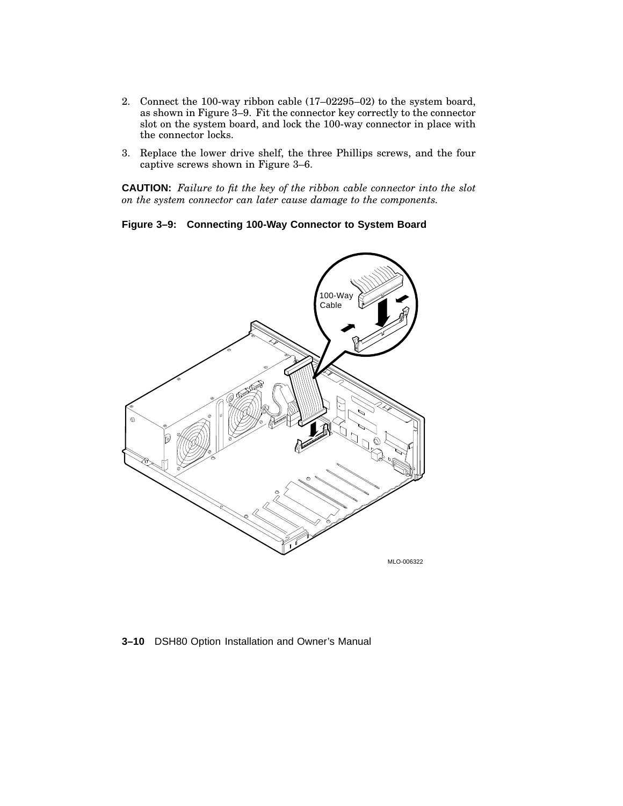- 2. Connect the 100-way ribbon cable (17–02295–02) to the system board, as shown in Figure 3–9. Fit the connector key correctly to the connector slot on the system board, and lock the 100-way connector in place with the connector locks.
- 3. Replace the lower drive shelf, the three Phillips screws, and the four captive screws shown in Figure 3–6.

**CAUTION:** *Failure to fit the key of the ribbon cable connector into the slot on the system connector can later cause damage to the components.*





**3–10** DSH80 Option Installation and Owner's Manual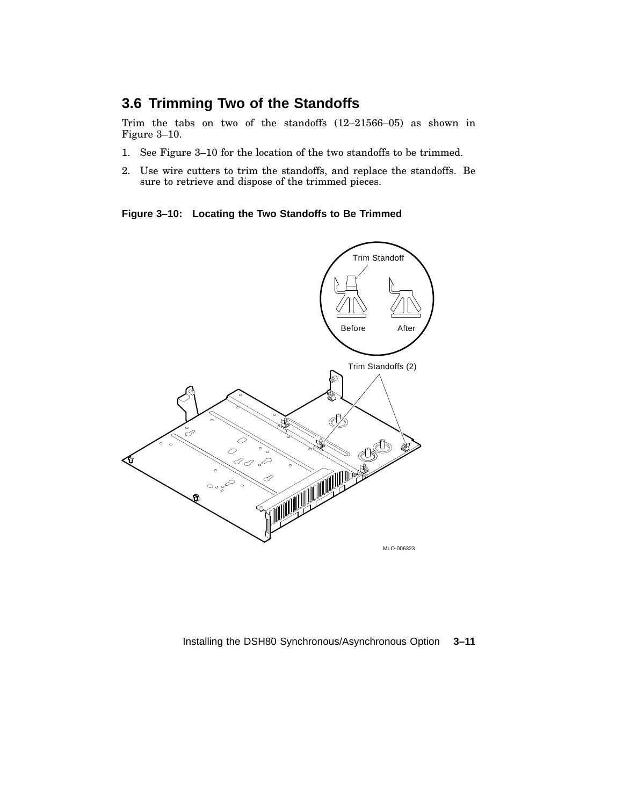### **3.6 Trimming Two of the Standoffs**

Trim the tabs on two of the standoffs (12–21566–05) as shown in Figure 3–10.

- 1. See Figure 3–10 for the location of the two standoffs to be trimmed.
- 2. Use wire cutters to trim the standoffs, and replace the standoffs. Be sure to retrieve and dispose of the trimmed pieces.

**Figure 3–10: Locating the Two Standoffs to Be Trimmed**



#### Installing the DSH80 Synchronous/Asynchronous Option **3–11**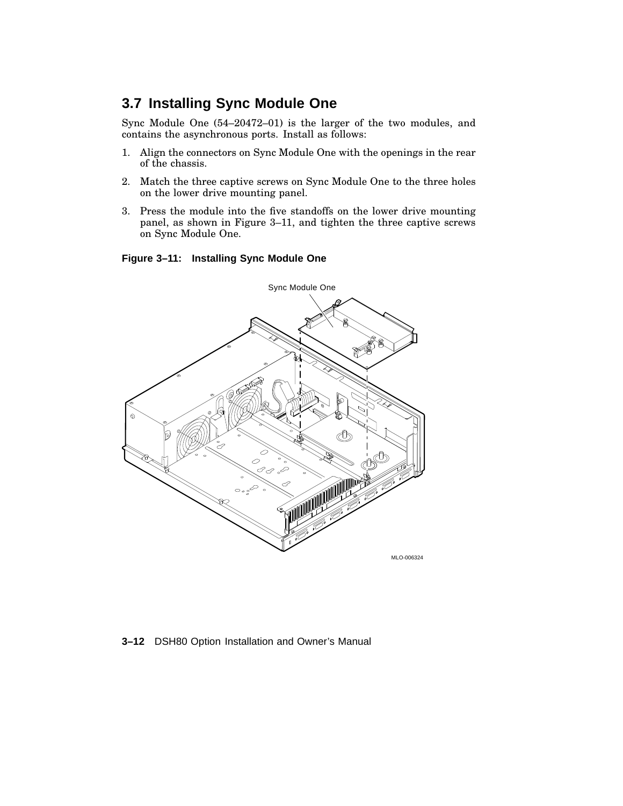### **3.7 Installing Sync Module One**

Sync Module One (54–20472–01) is the larger of the two modules, and contains the asynchronous ports. Install as follows:

- 1. Align the connectors on Sync Module One with the openings in the rear of the chassis.
- 2. Match the three captive screws on Sync Module One to the three holes on the lower drive mounting panel.
- 3. Press the module into the five standoffs on the lower drive mounting panel, as shown in Figure 3–11, and tighten the three captive screws on Sync Module One.





**3–12** DSH80 Option Installation and Owner's Manual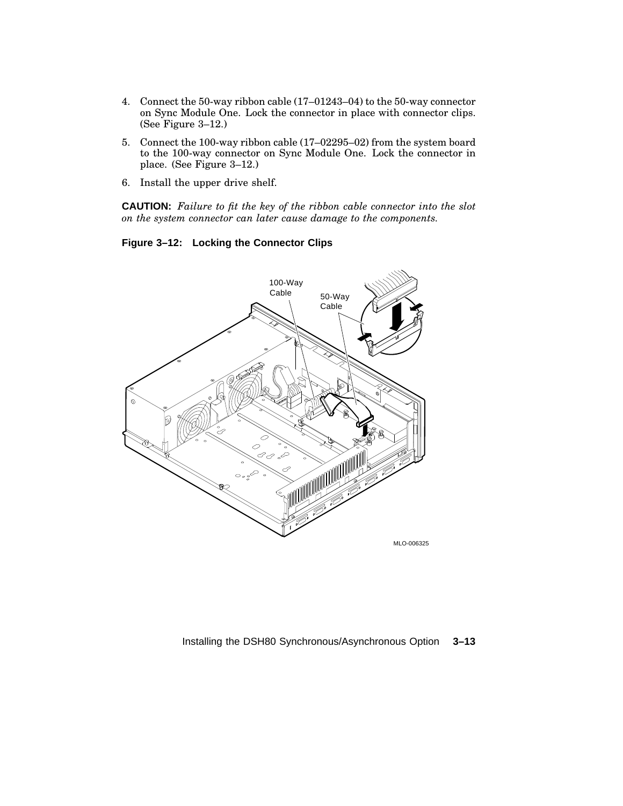- 4. Connect the 50-way ribbon cable (17–01243–04) to the 50-way connector on Sync Module One. Lock the connector in place with connector clips. (See Figure 3–12.)
- 5. Connect the 100-way ribbon cable (17–02295–02) from the system board to the 100-way connector on Sync Module One. Lock the connector in place. (See Figure 3–12.)
- 6. Install the upper drive shelf.

**CAUTION:** *Failure to fit the key of the ribbon cable connector into the slot on the system connector can later cause damage to the components.*





#### Installing the DSH80 Synchronous/Asynchronous Option **3–13**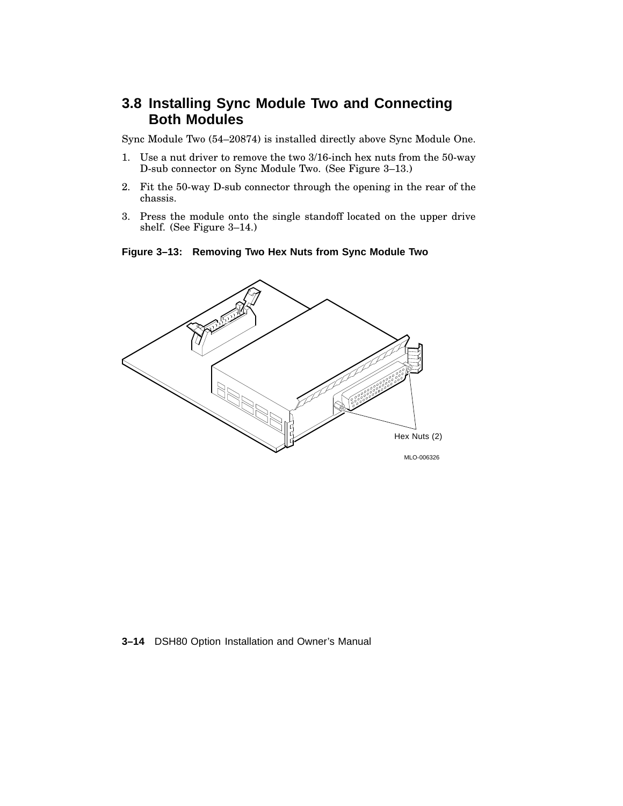### **3.8 Installing Sync Module Two and Connecting Both Modules**

Sync Module Two (54–20874) is installed directly above Sync Module One.

- 1. Use a nut driver to remove the two 3/16-inch hex nuts from the 50-way D-sub connector on Sync Module Two. (See Figure 3–13.)
- 2. Fit the 50-way D-sub connector through the opening in the rear of the chassis.
- 3. Press the module onto the single standoff located on the upper drive shelf. (See Figure 3–14.)





**3–14** DSH80 Option Installation and Owner's Manual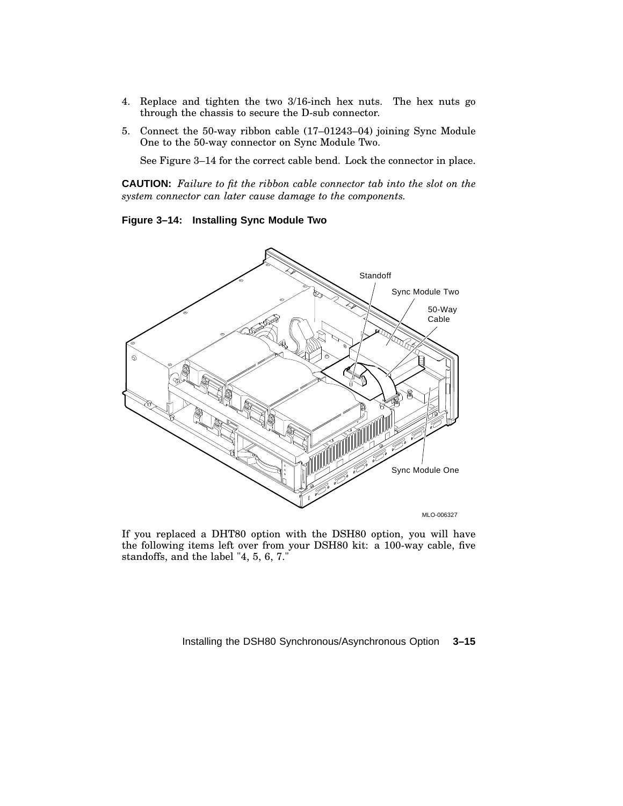- 4. Replace and tighten the two 3/16-inch hex nuts. The hex nuts go through the chassis to secure the D-sub connector.
- 5. Connect the 50-way ribbon cable (17–01243–04) joining Sync Module One to the 50-way connector on Sync Module Two.

See Figure 3–14 for the correct cable bend. Lock the connector in place.

**CAUTION:** *Failure to fit the ribbon cable connector tab into the slot on the system connector can later cause damage to the components.*

**Figure 3–14: Installing Sync Module Two**



If you replaced a DHT80 option with the DSH80 option, you will have the following items left over from your DSH80 kit: a 100-way cable, five standoffs, and the label "4, 5, 6, 7."

#### Installing the DSH80 Synchronous/Asynchronous Option **3–15**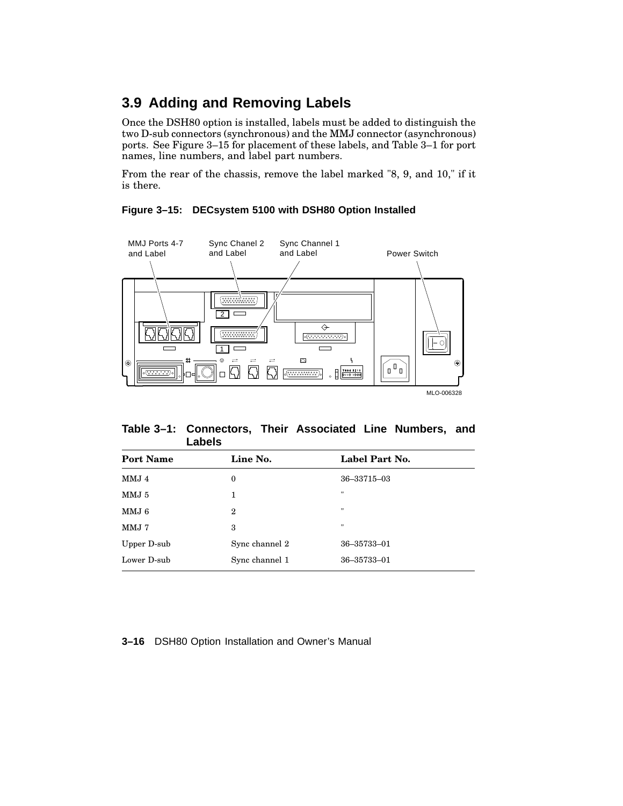### **3.9 Adding and Removing Labels**

Once the DSH80 option is installed, labels must be added to distinguish the two D-sub connectors (synchronous) and the MMJ connector (asynchronous) ports. See Figure 3–15 for placement of these labels, and Table 3–1 for port names, line numbers, and label part numbers.

From the rear of the chassis, remove the label marked "8, 9, and 10," if it is there.

MMJ Ports 4-7 Sync Chanel 2<br>and Label Sync Channel 1 and Label and Label Power Switch  $( \frac{1}{2} \frac{1}{2} \frac{1}{2} \frac{1}{2} \frac{1}{2} \frac{1}{2} \frac{1}{2} \frac{1}{2} \frac{1}{2} \frac{1}{2} \frac{1}{2} \frac{1}{2} \frac{1}{2} \frac{1}{2} \frac{1}{2} \frac{1}{2} \frac{1}{2} \frac{1}{2} \frac{1}{2} \frac{1}{2} \frac{1}{2} \frac{1}{2} \frac{1}{2} \frac{1}{2} \frac{1}{2} \frac{1}{2} \frac{1}{2} \frac{1}{2} \frac{1}{2} \frac{1}{2} \frac{1}{2} \frac$ 2  $\Box$  $\Leftrightarrow$  $[3333333333]$  $\boxed{\circ(\frac{9}{5}{}^6{}_6{}^8{}_3{}^8{}_5{}^8{}_5{}^8{}_5{}^8{}_5{}^8{}_6{}^8{}_6{}^8{}_6{}^8{}_6{}^9{}_0) }$   $\circ$  $-$  O  $\overline{\phantom{a}}$  $\Box$  $\Gamma$  $\circledcirc$ Ø ⊕ Ġ.  $\left\langle \begin{smallmatrix} 0 \ 0 \end{smallmatrix} \right\rangle$  $\Box$  $\bigcirc$  $\bigcirc$ . <mark>ೕ</sup>းးးးး</mark>) ္ MLO-006328

**Figure 3–15: DECsystem 5100 with DSH80 Option Installed**

| Table 3–1: Connectors, Their Associated Line Numbers, and |  |  |  |
|-----------------------------------------------------------|--|--|--|
| Labels                                                    |  |  |  |

| <b>Port Name</b> | Line No.       | Label Part No.    |
|------------------|----------------|-------------------|
| MMJ 4            | $\bf{0}$       | 36-33715-03       |
| MMJ 5            | 1              | $^{\prime\prime}$ |
| MMJ 6            | $\overline{2}$ | $^{\prime\prime}$ |
| MMJ 7            | 3              | $^{\dagger}$      |
| Upper D-sub      | Sync channel 2 | 36-35733-01       |
| Lower D-sub      | Sync channel 1 | 36-35733-01       |

#### **3–16** DSH80 Option Installation and Owner's Manual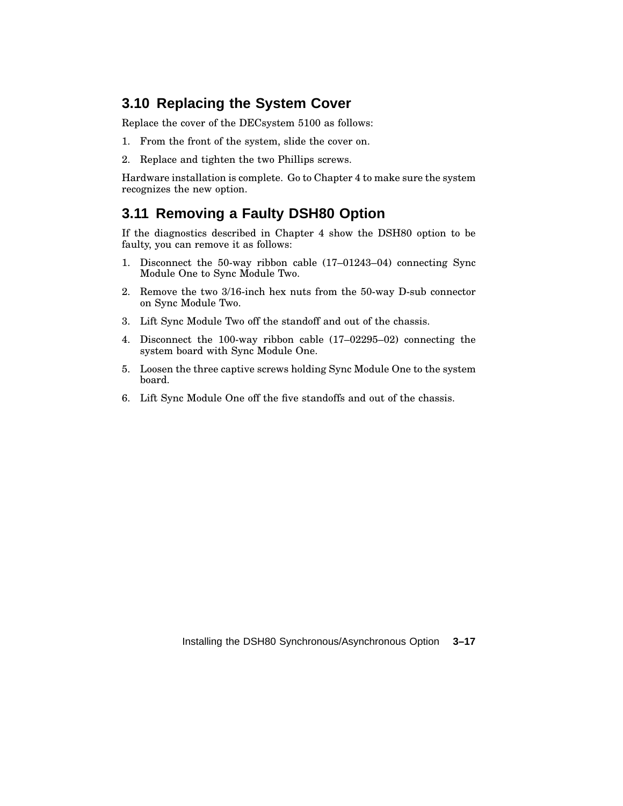### **3.10 Replacing the System Cover**

Replace the cover of the DECsystem 5100 as follows:

- 1. From the front of the system, slide the cover on.
- 2. Replace and tighten the two Phillips screws.

Hardware installation is complete. Go to Chapter 4 to make sure the system recognizes the new option.

### **3.11 Removing a Faulty DSH80 Option**

If the diagnostics described in Chapter 4 show the DSH80 option to be faulty, you can remove it as follows:

- 1. Disconnect the 50-way ribbon cable (17–01243–04) connecting Sync Module One to Sync Module Two.
- 2. Remove the two 3/16-inch hex nuts from the 50-way D-sub connector on Sync Module Two.
- 3. Lift Sync Module Two off the standoff and out of the chassis.
- 4. Disconnect the 100-way ribbon cable (17–02295–02) connecting the system board with Sync Module One.
- 5. Loosen the three captive screws holding Sync Module One to the system board.
- 6. Lift Sync Module One off the five standoffs and out of the chassis.

Installing the DSH80 Synchronous/Asynchronous Option **3–17**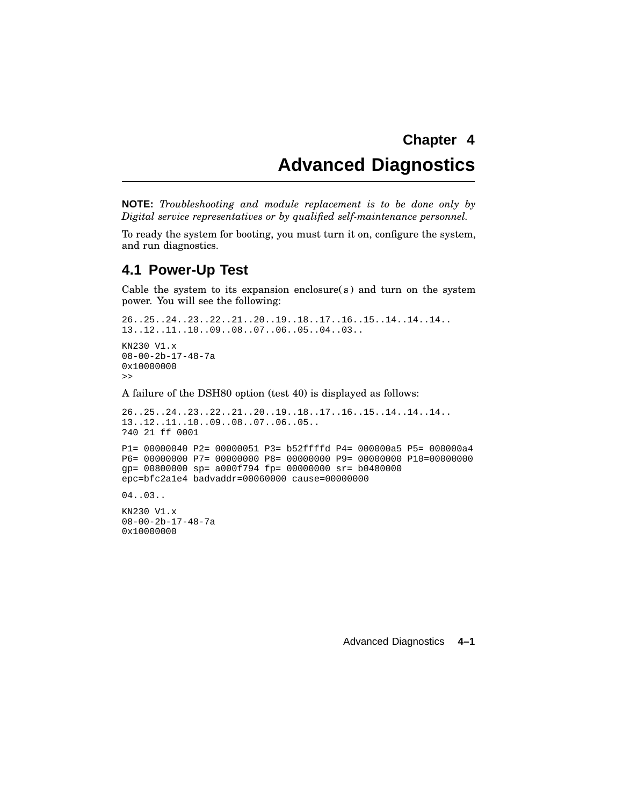## **Chapter 4 Advanced Diagnostics**

**NOTE:** *Troubleshooting and module replacement is to be done only by Digital service representatives or by qualified self-maintenance personnel.*

To ready the system for booting, you must turn it on, configure the system, and run diagnostics.

### **4.1 Power-Up Test**

Cable the system to its expansion enclosure $(s)$  and turn on the system power. You will see the following:

```
26..25..24..23..22..21..20..19..18..17..16..15..14..14..14..
13..12..11..10..09..08..07..06..05..04..03..
KN230 V1.x
08-00-2b-17-48-7a
0x10000000
>>
A failure of the DSH80 option (test 40) is displayed as follows:
```
26..25..24..23..22..21..20..19..18..17..16..15..14..14..14.. 13..12..11..10..09..08..07..06..05.. ?40 21 ff 0001 P1= 00000040 P2= 00000051 P3= b52ffffd P4= 000000a5 P5= 000000a4 P6= 00000000 P7= 00000000 P8= 00000000 P9= 00000000 P10=00000000 gp= 00800000 sp= a000f794 fp= 00000000 sr= b0480000 epc=bfc2a1e4 badvaddr=00060000 cause=00000000

04..03..

KN230 V1.x 08-00-2b-17-48-7a 0x10000000

Advanced Diagnostics **4–1**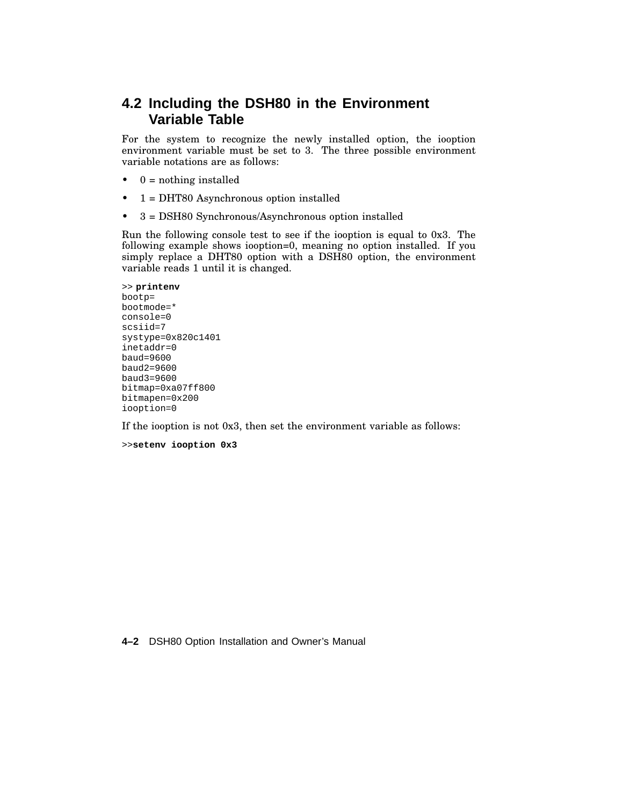### **4.2 Including the DSH80 in the Environment Variable Table**

For the system to recognize the newly installed option, the iooption environment variable must be set to 3. The three possible environment variable notations are as follows:

- $\bullet$  0 = nothing installed
- 1 = DHT80 Asynchronous option installed
- 3 = DSH80 Synchronous/Asynchronous option installed

Run the following console test to see if the iooption is equal to 0x3. The following example shows iooption=0, meaning no option installed. If you simply replace a DHT80 option with a DSH80 option, the environment variable reads 1 until it is changed.

```
>> printenv
bootp=
bootmode=*
console=0
scsiid=7
systype=0x820c1401
inetaddr=0
baud=9600
baud2=9600
baud3=9600
bitmap=0xa07ff800
bitmapen=0x200
iooption=0
```
If the iooption is not 0x3, then set the environment variable as follows:

```
>>setenv iooption 0x3
```
**4–2** DSH80 Option Installation and Owner's Manual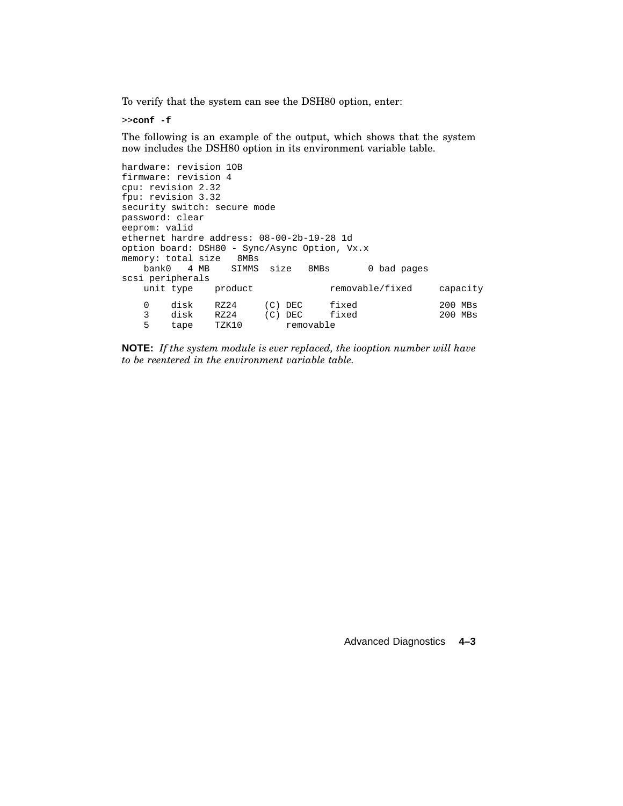To verify that the system can see the DSH80 option, enter:

>>**conf -f**

The following is an example of the output, which shows that the system now includes the DSH80 option in its environment variable table.

```
hardware: revision 1OB
firmware: revision 4
cpu: revision 2.32
fpu: revision 3.32
security switch: secure mode
password: clear
eeprom: valid
ethernet hardre address: 08-00-2b-19-28 1d
option board: DSH80 - Sync/Async Option, Vx.x
memory: total size 8MBs<br>bank0 4 MB SIMMS
                SIMMS size 8MBs 0 bad pages
scsi peripherals
   unit type product removable/fixed capacity
   0 disk RZ24 (C)DEC fixed 200 MBs<br>3 disk RZ24 (C)DEC fixed 200 MBs
    3 disk RZ24 (C) DEC fixed 200 MBs
    5 tape TZK10 removable
```
**NOTE:** *If the system module is ever replaced, the iooption number will have to be reentered in the environment variable table.*

Advanced Diagnostics **4–3**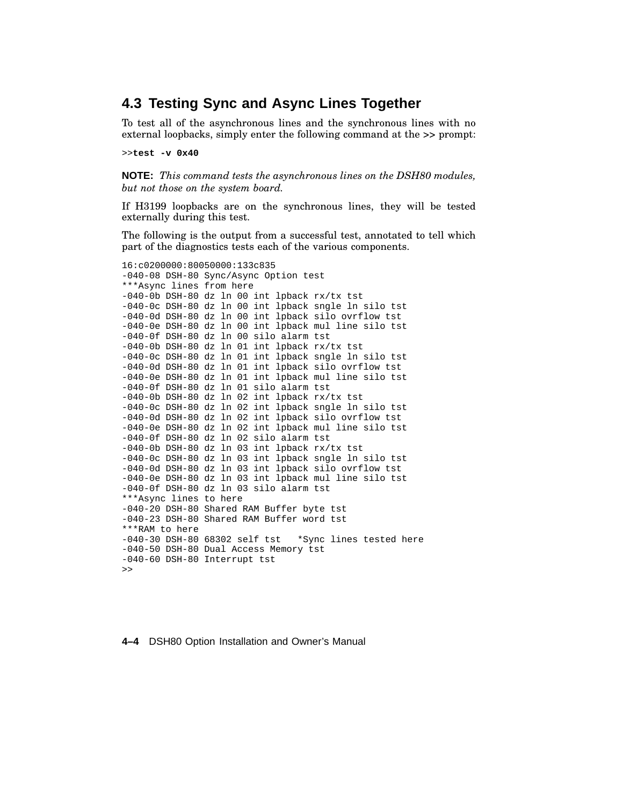### **4.3 Testing Sync and Async Lines Together**

To test all of the asynchronous lines and the synchronous lines with no external loopbacks, simply enter the following command at the >> prompt:

>>**test -v 0x40**

**NOTE:** *This command tests the asynchronous lines on the DSH80 modules, but not those on the system board.*

If H3199 loopbacks are on the synchronous lines, they will be tested externally during this test.

The following is the output from a successful test, annotated to tell which part of the diagnostics tests each of the various components.

```
16:c0200000:80050000:133c835
-040-08 DSH-80 Sync/Async Option test
***Async lines from here
-040-0b DSH-80 dz ln 00 int lpback rx/tx tst
-040-0c DSH-80 dz ln 00 int lpback sngle ln silo tst
-040-0d DSH-80 dz ln 00 int lpback silo ovrflow tst
-040-0e DSH-80 dz ln 00 int lpback mul line silo tst
-040-0f DSH-80 dz ln 00 silo alarm tst
-040-0b DSH-80 dz ln 01 int lpback rx/tx tst
-040-0c DSH-80 dz ln 01 int lpback sngle ln silo tst
-040-0d DSH-80 dz ln 01 int lpback silo ovrflow tst
-040-0e DSH-80 dz ln 01 int lpback mul line silo tst
-040-0f DSH-80 dz ln 01 silo alarm tst
-040-0b DSH-80 dz ln 02 int lpback rx/tx tst
-040-0c DSH-80 dz ln 02 int lpback sngle ln silo tst
-040-0d DSH-80 dz ln 02 int lpback silo ovrflow tst
-040-0e DSH-80 dz ln 02 int lpback mul line silo tst
-040-0f DSH-80 dz ln 02 silo alarm tst
-040-0b DSH-80 dz ln 03 int lpback rx/tx tst
-040-0c DSH-80 dz ln 03 int lpback sngle ln silo tst
-040-0d DSH-80 dz ln 03 int lpback silo ovrflow tst
-040-0e DSH-80 dz ln 03 int lpback mul line silo tst
-040-0f DSH-80 dz ln 03 silo alarm tst
***Async lines to here
-040-20 DSH-80 Shared RAM Buffer byte tst
-040-23 DSH-80 Shared RAM Buffer word tst
***RAM to here
-040-30 DSH-80 68302 self tst *Sync lines tested here
-040-50 DSH-80 Dual Access Memory tst
-040-60 DSH-80 Interrupt tst
\rightarrow
```

```
4–4 DSH80 Option Installation and Owner's Manual
```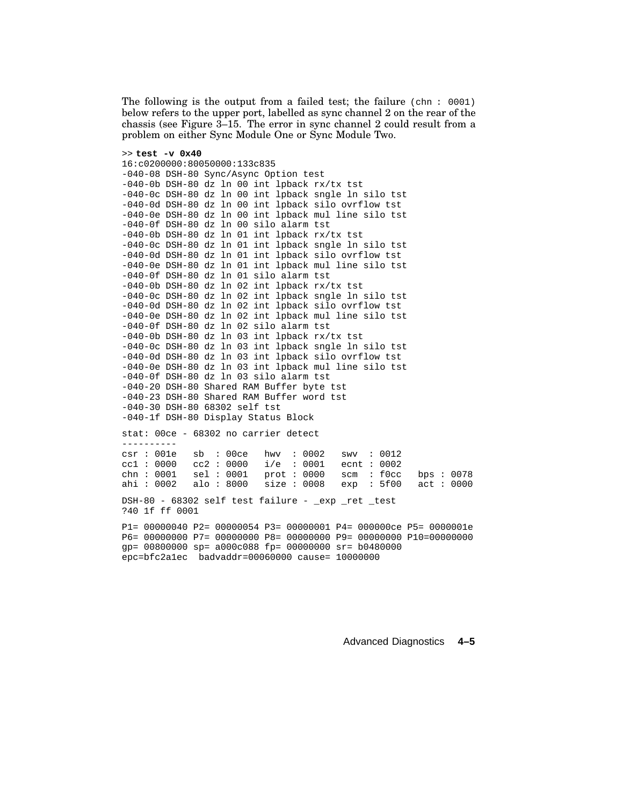The following is the output from a failed test; the failure  $(\text{chn} : 0001)$ below refers to the upper port, labelled as sync channel 2 on the rear of the chassis (see Figure 3–15. The error in sync channel 2 could result from a problem on either Sync Module One or Sync Module Two.

```
>> test -v 0x40
16:c0200000:80050000:133c835
-040-08 DSH-80 Sync/Async Option test
-040-0b DSH-80 dz ln 00 int lpback rx/tx tst
-040-0c DSH-80 dz ln 00 int lpback sngle ln silo tst
-040-0d DSH-80 dz ln 00 int lpback silo ovrflow tst
-040-0e DSH-80 dz ln 00 int lpback mul line silo tst
-040-0f DSH-80 dz ln 00 silo alarm tst
-040-0b DSH-80 dz ln 01 int lpback rx/tx tst
-040-0c DSH-80 dz ln 01 int lpback sngle ln silo tst
-040-0d DSH-80 dz ln 01 int lpback silo ovrflow tst
-040-0e DSH-80 dz ln 01 int lpback mul line silo tst
-040-0f DSH-80 dz ln 01 silo alarm tst
-040-0b DSH-80 dz ln 02 int lpback rx/tx tst
-040-0c DSH-80 dz ln 02 int lpback sngle ln silo tst
-040-0d DSH-80 dz ln 02 int lpback silo ovrflow tst
-040-0e DSH-80 dz ln 02 int lpback mul line silo tst
-040-0f DSH-80 dz ln 02 silo alarm tst
-040-0b DSH-80 dz ln 03 int lpback rx/tx tst
-040-0c DSH-80 dz ln 03 int lpback sngle ln silo tst
-040-0d DSH-80 dz ln 03 int lpback silo ovrflow tst
-040-0e DSH-80 dz ln 03 int lpback mul line silo tst
-040-0f DSH-80 dz ln 03 silo alarm tst
-040-20 DSH-80 Shared RAM Buffer byte tst
-040-23 DSH-80 Shared RAM Buffer word tst
-040-30 DSH-80 68302 self tst
-040-1f DSH-80 Display Status Block
stat: 00ce - 68302 no carrier detect
----------
csr : 001e sb : 00ce hwv : 0002 swv : 0012
cc1 : 0000 cc2 : 0000 i/e : 0001 ecnt : 0002<br>chn : 0001 sel : 0001 prot : 0000 scm : f0cc
chn : 0001 sel : 0001 prot : 0000 scm : f0cc bps : 0078
ahi : 0002 alo : 8000 size : 0008 exp : 5f00 act : 0000
DSH-80 - 68302 self test failure - _exp _ret _test
?40 1f ff 0001
P1= 00000040 P2= 00000054 P3= 00000001 P4= 000000ce P5= 0000001e
P6= 00000000 P7= 00000000 P8= 00000000 P9= 00000000 P10=00000000
gp= 00800000 sp= a000c088 fp= 00000000 sr= b0480000
epc=bfc2a1ec badvaddr=00060000 cause= 10000000
```
Advanced Diagnostics **4–5**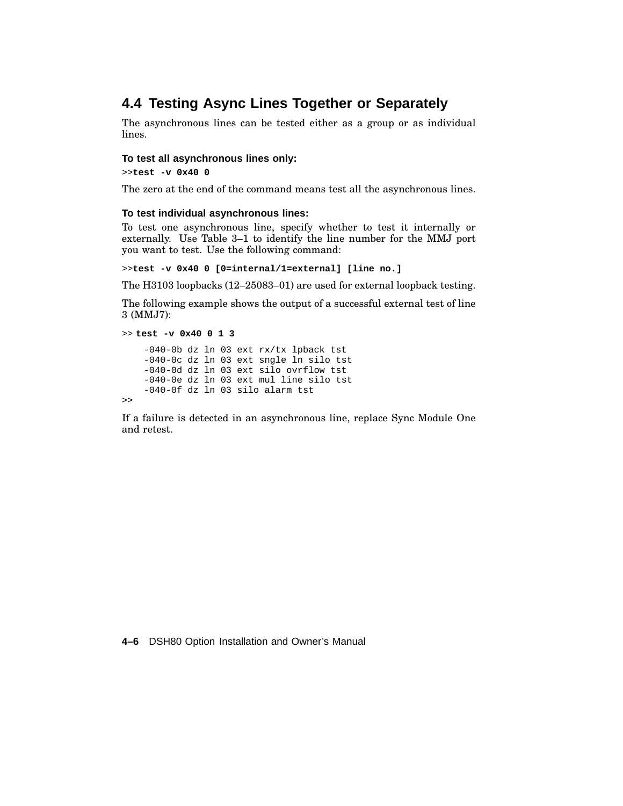### **4.4 Testing Async Lines Together or Separately**

The asynchronous lines can be tested either as a group or as individual lines.

#### **To test all asynchronous lines only:**

>>**test -v 0x40 0**

The zero at the end of the command means test all the asynchronous lines.

#### **To test individual asynchronous lines:**

To test one asynchronous line, specify whether to test it internally or externally. Use Table 3–1 to identify the line number for the MMJ port you want to test. Use the following command:

>>**test -v 0x40 0 [0=internal/1=external] [line no.]**

The H3103 loopbacks (12–25083–01) are used for external loopback testing.

The following example shows the output of a successful external test of line 3 (MMJ7):

```
>> test -v 0x40 0 1 3
   -040-0b dz ln 03 ext rx/tx lpback tst
    -040-0c dz ln 03 ext sngle ln silo tst
    -040-0d dz ln 03 ext silo ovrflow tst
   -040-0e dz ln 03 ext mul line silo tst
    -040-0f dz ln 03 silo alarm tst
\geq
```
If a failure is detected in an asynchronous line, replace Sync Module One and retest.

**4–6** DSH80 Option Installation and Owner's Manual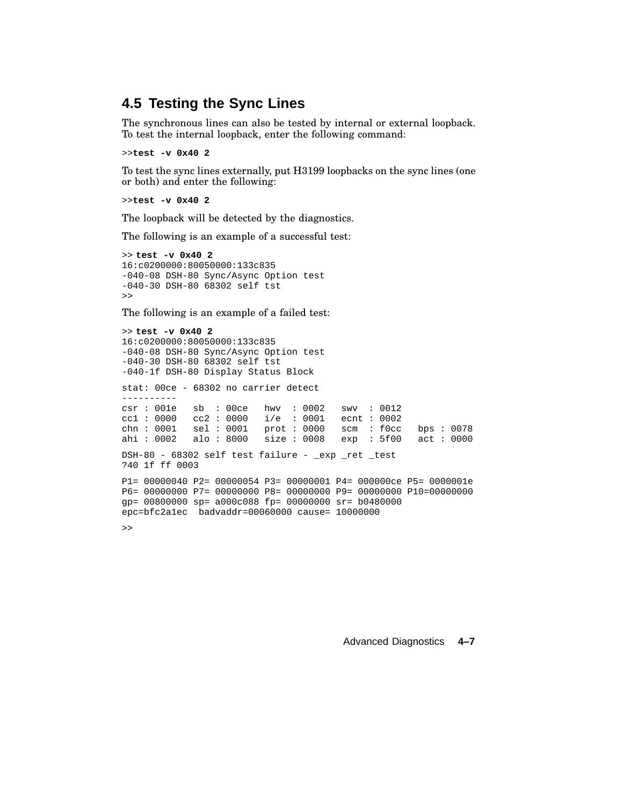### **4.5 Testing the Sync Lines**

The synchronous lines can also be tested by internal or external loopback. To test the internal loopback, enter the following command:

>>**test -v 0x40 2**

To test the sync lines externally, put H3199 loopbacks on the sync lines (one or both) and enter the following:

>>**test -v 0x40 2**

The loopback will be detected by the diagnostics.

The following is an example of a successful test:

```
>> test -v 0x40 2
16:c0200000:80050000:133c835
-040-08 DSH-80 Sync/Async Option test
-040-30 DSH-80 68302 self tst
>>
```
The following is an example of a failed test:

```
>> test -v 0x40 2
16:c0200000:80050000:133c835
-040-08 DSH-80 Sync/Async Option test
-040-30 DSH-80 68302 self tst
-040-1f DSH-80 Display Status Block
stat: 00ce - 68302 no carrier detect
----------
csr : 001e sb : 00ce hwv : 0002 swv : 0012
cc1 : 0000 cc2 : 0000 i/e : 0001 ecnt : 0002
chn : 0001 sel : 0001 prot : 0000 scm : f0cc bps : 0078
ahi : 0002 alo : 8000 size : 0008 exp : 5f00 act : 0000
DSH-80 - 68302 self test failure - _exp _ret _test
?40 1f ff 0003
P1= 00000040 P2= 00000054 P3= 00000001 P4= 000000ce P5= 0000001e
P6= 00000000 P7= 00000000 P8= 00000000 P9= 00000000 P10=00000000
gp= 00800000 sp= a000c088 fp= 00000000 sr= b0480000
epc=bfc2a1ec badvaddr=00060000 cause= 10000000
```
>>

Advanced Diagnostics **4–7**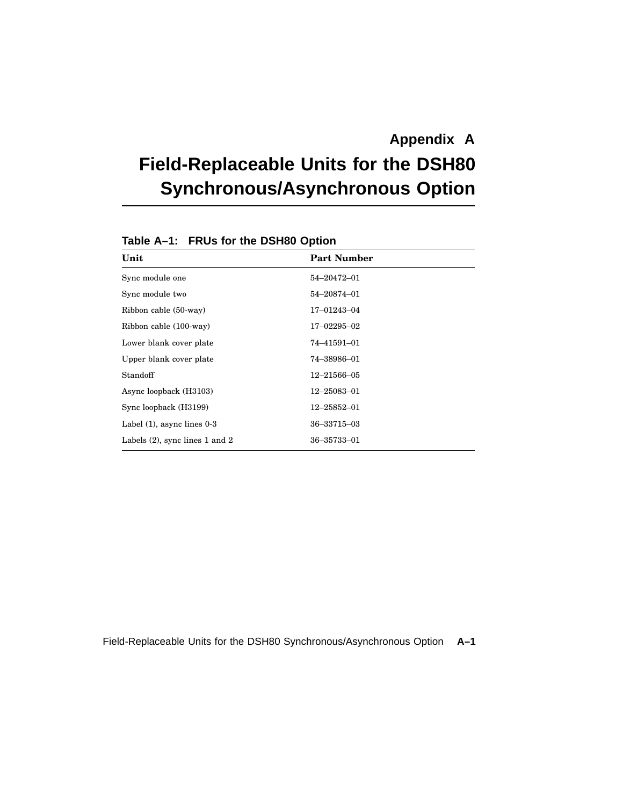### **Appendix A**

## **Field-Replaceable Units for the DSH80 Synchronous/Asynchronous Option**

| Unit                              | <b>Part Number</b> |
|-----------------------------------|--------------------|
| Sync module one                   | 54-20472-01        |
| Sync module two                   | 54-20874-01        |
| Ribbon cable (50-way)             | 17–01243–04        |
| Ribbon cable (100-way)            | 17–02295–02        |
| Lower blank cover plate           | 74–41591–01        |
| Upper blank cover plate           | 74-38986-01        |
| Standoff                          | 12–21566–05        |
| Async loopback (H3103)            | 12–25083–01        |
| Sync loopback (H3199)             | 12–25852–01        |
| Label $(1)$ , async lines $0-3$   | 36-33715-03        |
| Labels $(2)$ , sync lines 1 and 2 | 36-35733-01        |

**Table A–1: FRUs for the DSH80 Option**

Field-Replaceable Units for the DSH80 Synchronous/Asynchronous Option **A–1**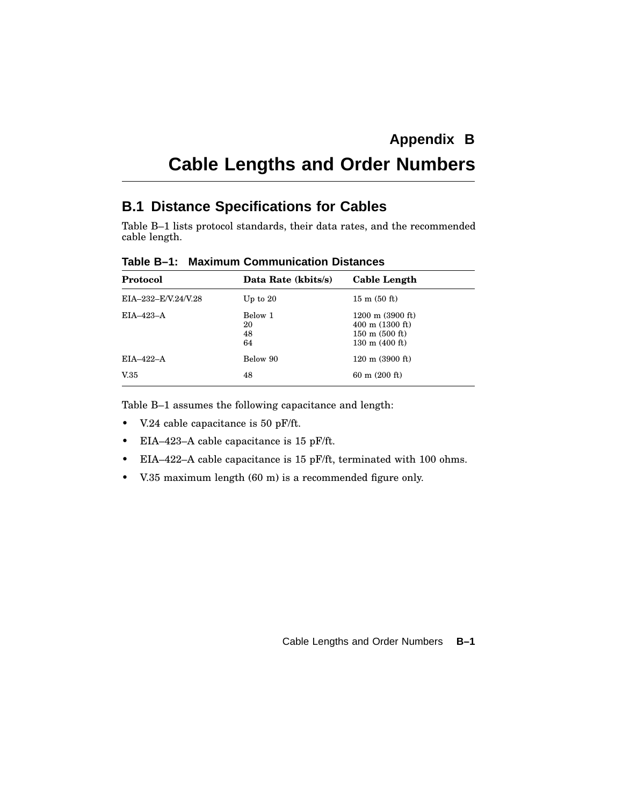## **Cable Lengths and Order Numbers**

### **B.1 Distance Specifications for Cables**

Table B–1 lists protocol standards, their data rates, and the recommended cable length.

**Table B–1: Maximum Communication Distances**

| Protocol            | Data Rate (kbits/s)       | <b>Cable Length</b>                                                                                             |
|---------------------|---------------------------|-----------------------------------------------------------------------------------------------------------------|
| EIA-232-E/V.24/V.28 | Up to $20$                | $15 \text{ m}$ (50 ft)                                                                                          |
| $EIA-423-A$         | Below 1<br>20<br>48<br>64 | $1200 \text{ m}$ (3900 ft)<br>$400 \text{ m}$ (1300 ft)<br>$150 \text{ m}$ (500 ft)<br>$130 \text{ m}$ (400 ft) |
| $EIA-422-A$         | Below 90                  | $120 \text{ m}$ (3900 ft)                                                                                       |
| V.35                | 48                        | 60 m $(200$ ft)                                                                                                 |

Table B–1 assumes the following capacitance and length:

- V.24 cable capacitance is 50 pF/ft.
- EIA–423–A cable capacitance is 15 pF/ft.
- EIA–422–A cable capacitance is 15 pF/ft, terminated with 100 ohms.
- V.35 maximum length (60 m) is a recommended figure only.

Cable Lengths and Order Numbers **B–1**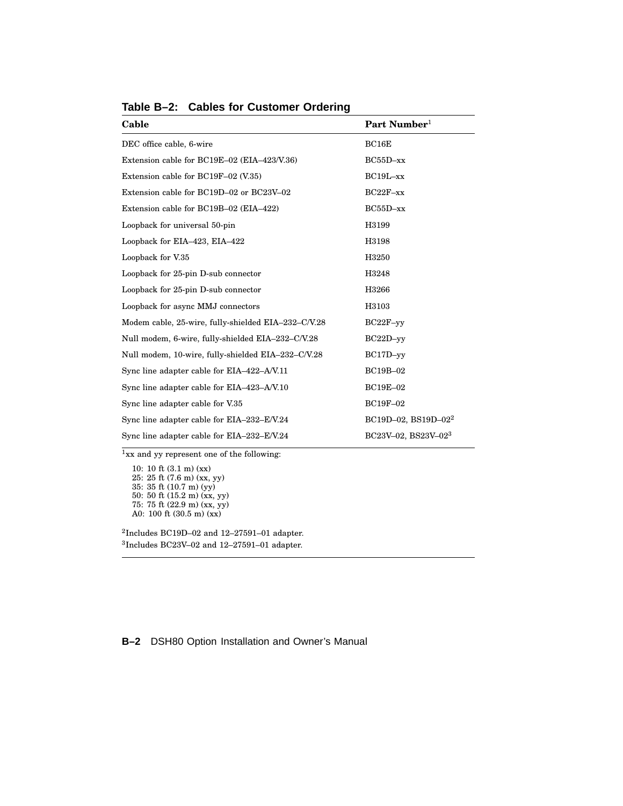| Cable                                               | Part Number <sup>1</sup>        |  |  |
|-----------------------------------------------------|---------------------------------|--|--|
| DEC office cable, 6-wire                            | BC16E                           |  |  |
| Extension cable for BC19E-02 (EIA-423/V.36)         | $BC55D-xx$                      |  |  |
| Extension cable for BC19F-02 (V.35)                 | $BC19L - xx$                    |  |  |
| Extension cable for BC19D-02 or BC23V-02            | $BC22F$ -xx                     |  |  |
| Extension cable for BC19B-02 (EIA-422)              | $BC55D-xx$                      |  |  |
| Loopback for universal 50-pin                       | H3199                           |  |  |
| Loopback for EIA-423, EIA-422                       | H3198                           |  |  |
| Loopback for V.35                                   | H3250                           |  |  |
| Loopback for 25-pin D-sub connector                 | H3248                           |  |  |
| Loopback for 25-pin D-sub connector                 | H3266                           |  |  |
| Loopback for async MMJ connectors                   | H3103                           |  |  |
| Modem cable, 25-wire, fully-shielded EIA-232-C/V.28 | $BC22F$ -vv                     |  |  |
| Null modem, 6-wire, fully-shielded EIA-232-C/V.28   | $BC22D-vv$                      |  |  |
| Null modem, 10-wire, fully-shielded EIA-232-C/V.28  | $BC17D$ -yy                     |  |  |
| Sync line adapter cable for EIA-422-A/V.11          | <b>BC19B-02</b>                 |  |  |
| Sync line adapter cable for EIA-423-A/V.10          | <b>BC19E-02</b>                 |  |  |
| Sync line adapter cable for V.35                    | <b>BC19F-02</b>                 |  |  |
| Sync line adapter cable for EIA-232-E/V.24          | $BC19D-02$ , $BS19D-022$        |  |  |
| Sync line adapter cable for EIA-232-E/V.24          | BC23V-02, BS23V-02 <sup>3</sup> |  |  |

**Table B–2: Cables for Customer Ordering**

 $\frac{1}{1}$ xx and yy represent one of the following:

10: 10 ft (3.1 m) (xx) 25: 25 ft (7.6 m) (xx, yy) 35: 35 ft (10.7 m) (yy) 50: 50 ft (15.2 m) (xx, yy) 75: 75 ft (22.9 m) (xx, yy) A0: 100 ft (30.5 m) (xx)

2 Includes BC19D–02 and 12–27591–01 adapter. 3 Includes BC23V–02 and 12–27591–01 adapter.

#### **B–2** DSH80 Option Installation and Owner's Manual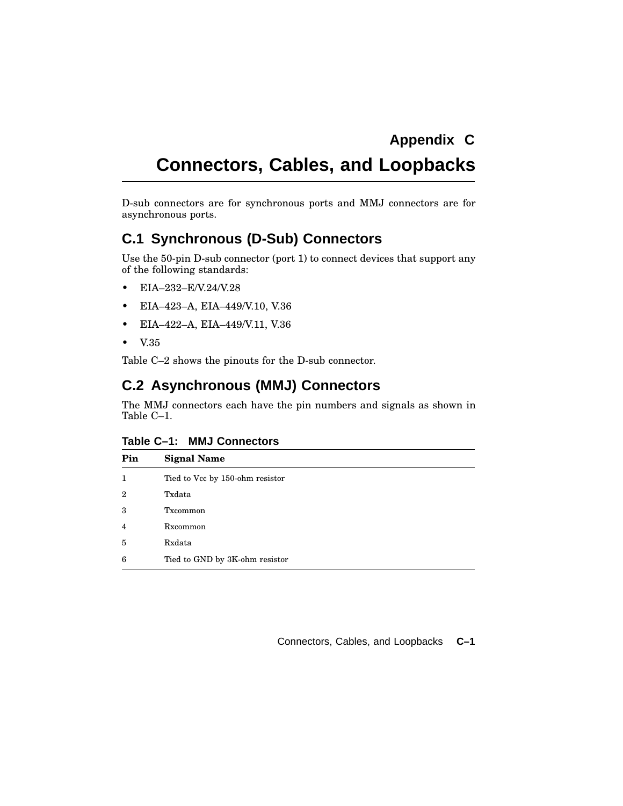## **Connectors, Cables, and Loopbacks**

D-sub connectors are for synchronous ports and MMJ connectors are for asynchronous ports.

### **C.1 Synchronous (D-Sub) Connectors**

Use the 50-pin D-sub connector (port 1) to connect devices that support any of the following standards:

- EIA–232–E/V.24/V.28
- EIA–423–A, EIA–449/V.10, V.36
- EIA–422–A, EIA–449/V.11, V.36
- V.35

Table C–2 shows the pinouts for the D-sub connector.

### **C.2 Asynchronous (MMJ) Connectors**

The MMJ connectors each have the pin numbers and signals as shown in Table C–1.

| Table C-1: MMJ Connectors |  |
|---------------------------|--|
|---------------------------|--|

| Pin | <b>Signal Name</b>              |
|-----|---------------------------------|
| 1   | Tied to Vcc by 150-ohm resistor |
| 2   | Txdata                          |
| 3   | <b>Txcommon</b>                 |
| 4   | Rxcommon                        |
| 5   | Rxdata                          |
| 6   | Tied to GND by 3K-ohm resistor  |

Connectors, Cables, and Loopbacks **C–1**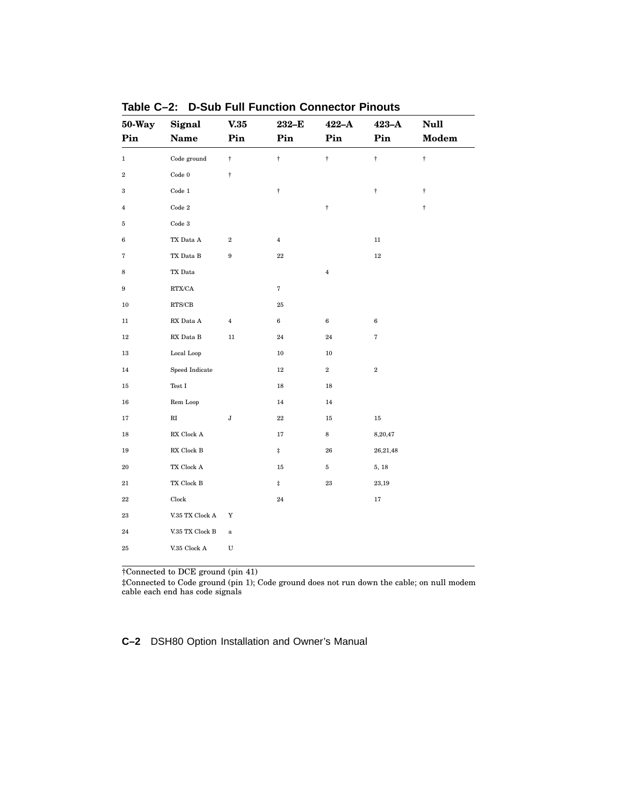| $50-Way$                | Signal                                                    | V.35       | $232 - E$               | $422 - A$  | $423 - A$           | <b>Null</b> |
|-------------------------|-----------------------------------------------------------|------------|-------------------------|------------|---------------------|-------------|
| $\mathbf{Pin}$          | Name                                                      | Pin        | Pin                     | Pin        | $\mathbf{Pin}$      | Modem       |
| $\mathbf 1$             | Code ground                                               | $^\dagger$ | $^\dagger$              | $^\dagger$ | $\dagger$           | $^\dagger$  |
| $\,2$                   | $\rm Code~0$                                              | $^\dagger$ |                         |            |                     |             |
| 3                       | $\rm Code~1$                                              |            | $^\dagger$              |            | $\dagger$           | $^\dagger$  |
| $\overline{\mathbf{4}}$ | $\rm{Code}$ $2$                                           |            |                         | $^\dagger$ |                     | $^\dagger$  |
| 5                       | $\rm Code~3$                                              |            |                         |            |                     |             |
| 6                       | $\mathsf{T}\mathsf{X}$ Data A                             | $\,2$      | $\overline{\mathbf{4}}$ |            | $11\,$              |             |
| 7                       | TX Data B                                                 | 9          | $\bf 22$                |            | $12\,$              |             |
| 8                       | $\operatorname{TX}$ Data                                  |            |                         | $\bf{4}$   |                     |             |
| 9                       | $\operatorname{RTX/CA}$                                   |            | $\scriptstyle\rm 7$     |            |                     |             |
| $10\,$                  | $\rm{RTS/CB}$                                             |            | $\bf 25$                |            |                     |             |
| $11\,$                  | $\mathop{\rm RX}\nolimits$ Data $\mathop{\rm A}\nolimits$ | $\bf{4}$   | $\bf 6$                 | $\bf 6$    | $\bf 6$             |             |
| 12                      | $\mathop{\rm RX}$ Data $\mathop{\rm B}$                   | $11\,$     | 24                      | $\bf{24}$  | $\scriptstyle\rm 7$ |             |
| $13\,$                  | Local Loop                                                |            | $10\,$                  | $10\,$     |                     |             |
| 14                      | Speed Indicate                                            |            | $12\,$                  | $\,2\,$    | $\,2$               |             |
| $15\,$                  | Test ${\rm I}$                                            |            | 18                      | 18         |                     |             |
| $16\,$                  | Rem Loop                                                  |            | $14\,$                  | $14\,$     |                     |             |
| 17                      | $\mathbf{R}\mathbf{I}$                                    | ${\bf J}$  | $\bf 22$                | 15         | $15\,$              |             |
| $18\,$                  | ${\sf RX}$ Clock ${\sf A}$                                |            | 17                      | $\bf8$     | 8,20,47             |             |
| $19\,$                  | ${\sf RX}$ Clock ${\sf B}$                                |            | $\ddagger$              | ${\bf 26}$ | 26,21,48            |             |
| 20                      | $\mathsf{T}\mathsf{X}$ Clock $\mathsf{A}$                 |            | 15                      | $\bf 5$    | 5, 18               |             |
| $^{21}$                 | $TX$ Clock $\mathbf B$                                    |            | $\ddagger$              | $\bf 23$   | 23,19               |             |
| $^{22}$                 | Clock                                                     |            | $\bf{24}$               |            | 17                  |             |
| $^{23}$                 | V.35 TX Clock A                                           | Y          |                         |            |                     |             |
| $\bf{24}$               | $\rm V.35$ TX Clock B                                     | $\bf{a}$   |                         |            |                     |             |
| 25                      | V.35 Clock A                                              | U          |                         |            |                     |             |
|                         |                                                           |            |                         |            |                     |             |

**Table C–2: D-Sub Full Function Connector Pinouts**

†Connected to DCE ground (pin 41)

‡Connected to Code ground (pin 1); Code ground does not run down the cable; on null modem cable each end has code signals

**C–2** DSH80 Option Installation and Owner's Manual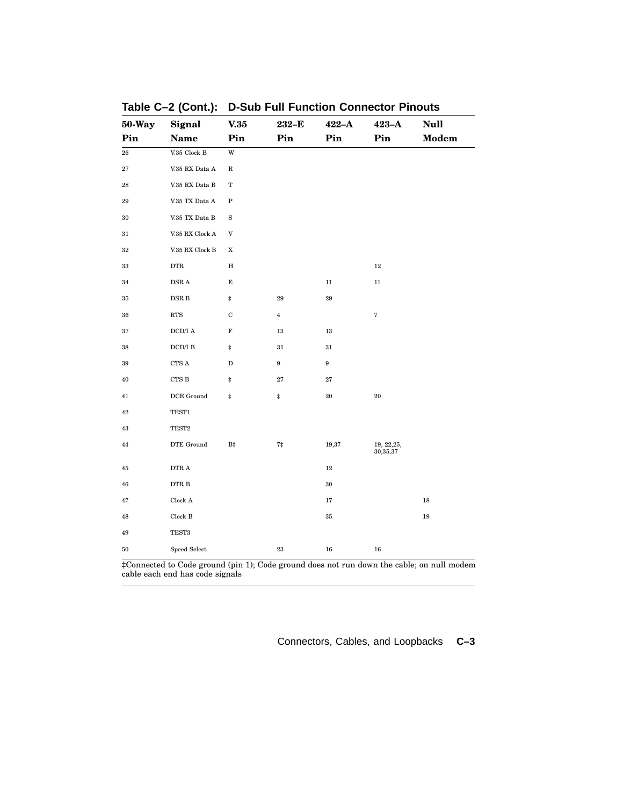| $50-Way$     | Signal                       | $\bf V.35$  | 232-E                   | $422 - A$ | $423 - A$               | <b>Null</b> |
|--------------|------------------------------|-------------|-------------------------|-----------|-------------------------|-------------|
| Pin          | Name                         | Pin         | Pin                     | Pin       | Pin                     | Modem       |
| ${\bf 26}$   | $\rm V.35$ Clock B           | $\mathbf W$ |                         |           |                         |             |
| $\bf{27}$    | $\rm V.35~RX$ Data A         | $\mathbf R$ |                         |           |                         |             |
| $\bf{^{28}}$ | $\rm V.35$ RX Data B         | т           |                         |           |                         |             |
| 29           | $\rm V.35$ TX Data A         | ${\bf P}$   |                         |           |                         |             |
| $30\,$       | $\rm V.35$ TX Data B         | $\rm S$     |                         |           |                         |             |
| $^{31}$      | $\rm V.35~RX$ Clock A        | V           |                         |           |                         |             |
| $32\,$       | $\rm V.35~RX$ Clock B        | X           |                         |           |                         |             |
| 33           | $_{\rm{DTR}}$                | $_{\rm H}$  |                         |           | $12\,$                  |             |
| 34           | $\operatorname{DSR}$ A       | $\mathbf E$ |                         | $11\,$    | $11\,$                  |             |
| 35           | $_{\rm{DSR}}$ B              | $\ddagger$  | $\bf 29$                | 29        |                         |             |
| 36           | $\mathop{\rm RTS}\nolimits$  | $\mathbf C$ | $\overline{\mathbf{4}}$ |           | $\scriptstyle\rm 7$     |             |
| 37           | $\rm DCD/ I$ A               | F           | $13\,$                  | 13        |                         |             |
| 38           | $\rm DCD/I$ B                | $\ddagger$  | $31\,$                  | $31\,$    |                         |             |
| 39           | ${\rm CTS}$ A                | $\mathbf D$ | 9                       | 9         |                         |             |
| 40           | ${\rm CTS}$ B                | $\ddagger$  | $\bf 27$                | $\bf 27$  |                         |             |
| 41           | $\rm DCE$ $\rm Ground$       | ŧ           | $\ddagger$              | $20\,$    | $\bf{20}$               |             |
| 42           | $\operatorname{TEST1}$       |             |                         |           |                         |             |
| 43           | TEST <sub>2</sub>            |             |                         |           |                         |             |
| 44           | DTE Ground                   | B‡          | $7\ddagger$             | 19,37     | 19, 22, 25,<br>30,35,37 |             |
| $45\,$       | $_{\rm{DTR~A}}$              |             |                         | $12\,$    |                         |             |
| 46           | $_{\rm{DTR~B}}$              |             |                         | 30        |                         |             |
| 47           | Clock ${\bf A}$              |             |                         | $17\,$    |                         | $18\,$      |
| 48           | ${\rm Clock}$ B              |             |                         | $35\,$    |                         | $19\,$      |
| 49           | TEST3                        |             |                         |           |                         |             |
| 50           | ${\bf Speed}$ ${\bf Select}$ |             | $\bf{^{23}}$            | 16        | 16                      |             |

**Table C–2 (Cont.): D-Sub Full Function Connector Pinouts**

‡Connected to Code ground (pin 1); Code ground does not run down the cable; on null modem cable each end has code signals

Connectors, Cables, and Loopbacks **C–3**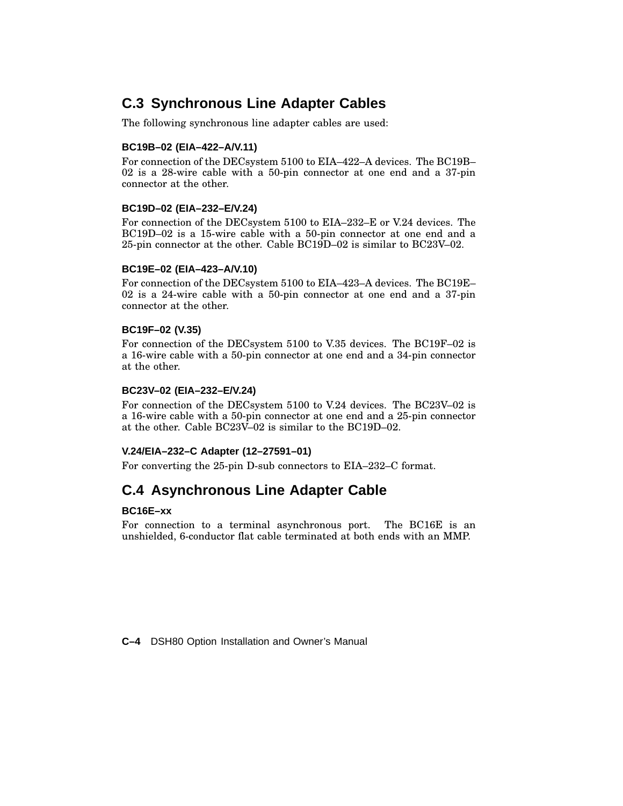### **C.3 Synchronous Line Adapter Cables**

The following synchronous line adapter cables are used:

#### **BC19B–02 (EIA–422–A/V.11)**

For connection of the DECsystem 5100 to EIA–422–A devices. The BC19B– 02 is a 28-wire cable with a 50-pin connector at one end and a 37-pin connector at the other.

#### **BC19D–02 (EIA–232–E/V.24)**

For connection of the DECsystem 5100 to EIA–232–E or V.24 devices. The BC19D–02 is a 15-wire cable with a 50-pin connector at one end and a 25-pin connector at the other. Cable BC19D–02 is similar to BC23V–02.

#### **BC19E–02 (EIA–423–A/V.10)**

For connection of the DECsystem 5100 to EIA–423–A devices. The BC19E– 02 is a 24-wire cable with a 50-pin connector at one end and a 37-pin connector at the other.

#### **BC19F–02 (V.35)**

For connection of the DECsystem 5100 to V.35 devices. The BC19F–02 is a 16-wire cable with a 50-pin connector at one end and a 34-pin connector at the other.

#### **BC23V–02 (EIA–232–E/V.24)**

For connection of the DECsystem 5100 to V.24 devices. The BC23V–02 is a 16-wire cable with a 50-pin connector at one end and a 25-pin connector at the other. Cable BC23V–02 is similar to the BC19D–02.

#### **V.24/EIA–232–C Adapter (12–27591–01)**

For converting the 25-pin D-sub connectors to EIA–232–C format.

### **C.4 Asynchronous Line Adapter Cable**

#### **BC16E–xx**

For connection to a terminal asynchronous port. The BC16E is an unshielded, 6-conductor flat cable terminated at both ends with an MMP.

**C–4** DSH80 Option Installation and Owner's Manual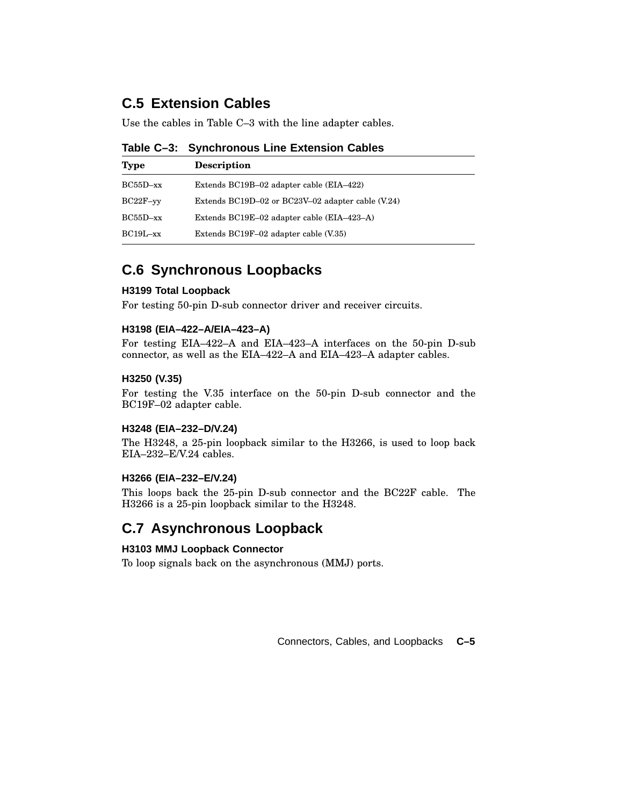### **C.5 Extension Cables**

Use the cables in Table C–3 with the line adapter cables.

| Type         | Description                                       |
|--------------|---------------------------------------------------|
| BC55D–xx     | Extends BC19B-02 adapter cable (EIA-422)          |
| $BC22F$ -vv  | Extends BC19D-02 or BC23V-02 adapter cable (V.24) |
| $BC55D-xx$   | Extends BC19E-02 adapter cable (EIA-423-A)        |
| $BC19L - xx$ | Extends BC19F-02 adapter cable (V.35)             |

### **C.6 Synchronous Loopbacks**

#### **H3199 Total Loopback**

For testing 50-pin D-sub connector driver and receiver circuits.

#### **H3198 (EIA–422–A/EIA–423–A)**

For testing EIA–422–A and EIA–423–A interfaces on the 50-pin D-sub connector, as well as the EIA–422–A and EIA–423–A adapter cables.

#### **H3250 (V.35)**

For testing the V.35 interface on the 50-pin D-sub connector and the BC19F–02 adapter cable.

#### **H3248 (EIA–232–D/V.24)**

The H3248, a 25-pin loopback similar to the H3266, is used to loop back EIA–232–E/V.24 cables.

#### **H3266 (EIA–232–E/V.24)**

This loops back the 25-pin D-sub connector and the BC22F cable. The H3266 is a 25-pin loopback similar to the H3248.

### **C.7 Asynchronous Loopback**

#### **H3103 MMJ Loopback Connector**

To loop signals back on the asynchronous (MMJ) ports.

Connectors, Cables, and Loopbacks **C–5**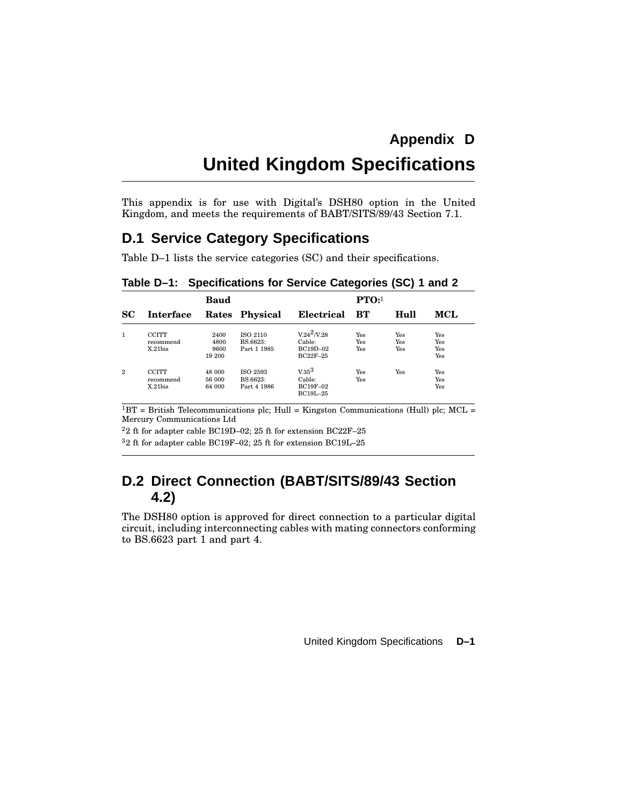## **Appendix D United Kingdom Specifications**

This appendix is for use with Digital's DSH80 option in the United Kingdom, and meets the requirements of BABT/SITS/89/43 Section 7.1.

### **D.1 Service Category Specifications**

Table D–1 lists the service categories (SC) and their specifications.

|              |                                         | Baud                           |                                            |                                                              | PTO:1             |                          |                          |
|--------------|-----------------------------------------|--------------------------------|--------------------------------------------|--------------------------------------------------------------|-------------------|--------------------------|--------------------------|
| SC           | <b>Interface</b>                        | Rates                          | <b>Physical</b>                            | Electrical                                                   | $_{\rm BT}$       | Hull                     | MCL                      |
| $\mathbf{1}$ | <b>CCITT</b><br>recommend<br>$X.21$ his | 2400<br>4800<br>9600<br>19 200 | <b>ISO 2110</b><br>BS.6623:<br>Part 1 1985 | $V.24^2/V.28$<br>Cable:<br>BC19D-02<br>$BC22F-25$            | Yes<br>Yes<br>Yes | <b>Yes</b><br>Yes<br>Yes | Yes<br>Yes<br>Yes<br>Yes |
| $\mathbf{2}$ | <b>CCITT</b><br>recommend<br>$X.21$ bis | 48 000<br>56 000<br>64 000     | ISO 2593<br>BS.6623:<br>Part 4 1986        | V.35 <sup>3</sup><br>Cable:<br><b>BC19F-02</b><br>$BC19L-25$ | <b>Yes</b><br>Yes | <b>Yes</b>               | Yes<br>Yes<br>Yes        |

**Table D–1: Specifications for Service Categories (SC) 1 and 2**

 $1BT = British Telecommunications$  plc; Hull = Kingston Communications (Hull) plc; MCL = Mercury Communications Ltd

<sup>2</sup>2 ft for adapter cable BC19D–02; 25 ft for extension BC22F–25

<sup>3</sup>2 ft for adapter cable BC19F–02; 25 ft for extension BC19L–25

### **D.2 Direct Connection (BABT/SITS/89/43 Section 4.2)**

The DSH80 option is approved for direct connection to a particular digital circuit, including interconnecting cables with mating connectors conforming to BS.6623 part 1 and part 4.

United Kingdom Specifications **D–1**